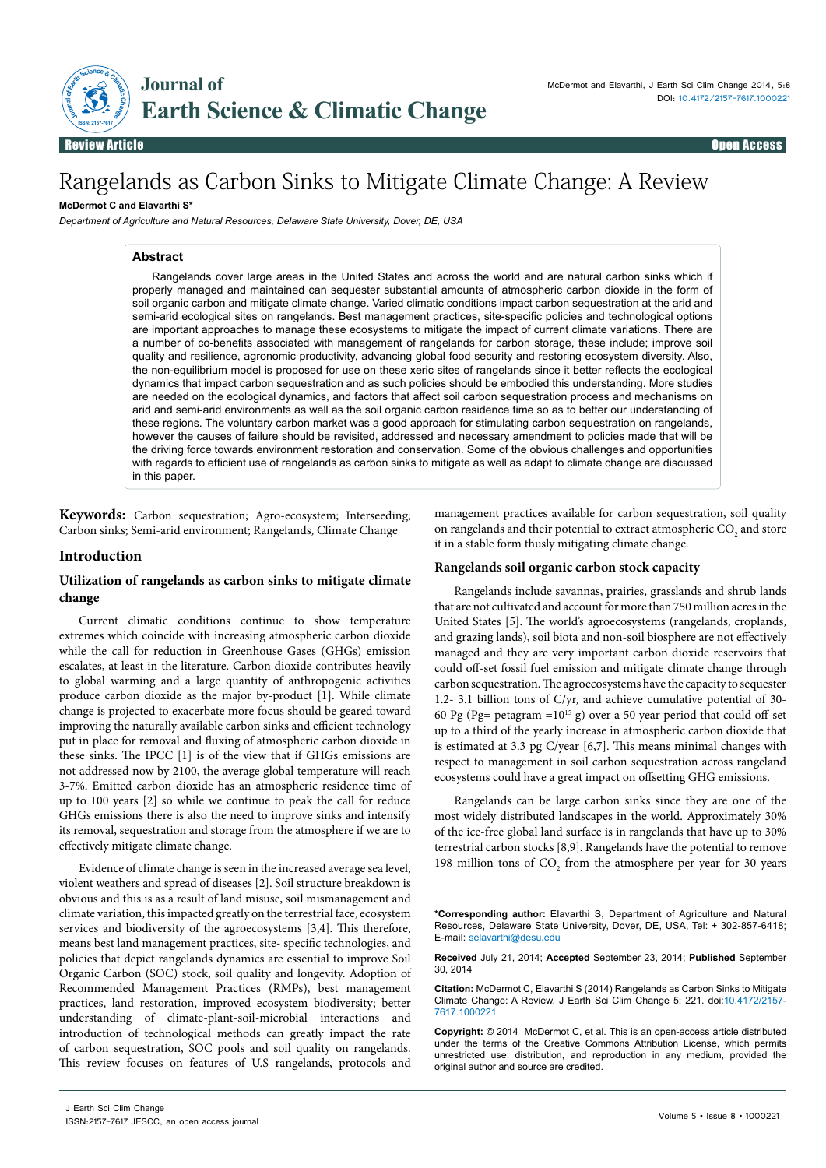

# Rangelands as Carbon Sinks to Mitigate Climate Change: A Review

#### **McDermot C and Elavarthi S\***

*Department of Agriculture and Natural Resources, Delaware State University, Dover, DE, USA*

## **Abstract**

Rangelands cover large areas in the United States and across the world and are natural carbon sinks which if properly managed and maintained can sequester substantial amounts of atmospheric carbon dioxide in the form of soil organic carbon and mitigate climate change. Varied climatic conditions impact carbon sequestration at the arid and semi-arid ecological sites on rangelands. Best management practices, site-specific policies and technological options are important approaches to manage these ecosystems to mitigate the impact of current climate variations. There are a number of co-benefits associated with management of rangelands for carbon storage, these include; improve soil quality and resilience, agronomic productivity, advancing global food security and restoring ecosystem diversity. Also, the non-equilibrium model is proposed for use on these xeric sites of rangelands since it better reflects the ecological dynamics that impact carbon sequestration and as such policies should be embodied this understanding. More studies are needed on the ecological dynamics, and factors that affect soil carbon sequestration process and mechanisms on arid and semi-arid environments as well as the soil organic carbon residence time so as to better our understanding of these regions. The voluntary carbon market was a good approach for stimulating carbon sequestration on rangelands, however the causes of failure should be revisited, addressed and necessary amendment to policies made that will be the driving force towards environment restoration and conservation. Some of the obvious challenges and opportunities with regards to efficient use of rangelands as carbon sinks to mitigate as well as adapt to climate change are discussed in this paper.

**Keywords:** Carbon sequestration; Agro-ecosystem; Interseeding; Carbon sinks; Semi-arid environment; Rangelands, Climate Change

## **Introduction**

# **Utilization of rangelands as carbon sinks to mitigate climate change**

Current climatic conditions continue to show temperature extremes which coincide with increasing atmospheric carbon dioxide while the call for reduction in Greenhouse Gases (GHGs) emission escalates, at least in the literature. Carbon dioxide contributes heavily to global warming and a large quantity of anthropogenic activities produce carbon dioxide as the major by-product [1]. While climate change is projected to exacerbate more focus should be geared toward improving the naturally available carbon sinks and efficient technology put in place for removal and fluxing of atmospheric carbon dioxide in these sinks. The IPCC [1] is of the view that if GHGs emissions are not addressed now by 2100, the average global temperature will reach 3-7%. Emitted carbon dioxide has an atmospheric residence time of up to 100 years [2] so while we continue to peak the call for reduce GHGs emissions there is also the need to improve sinks and intensify its removal, sequestration and storage from the atmosphere if we are to effectively mitigate climate change.

Evidence of climate change is seen in the increased average sea level, violent weathers and spread of diseases [2]. Soil structure breakdown is obvious and this is as a result of land misuse, soil mismanagement and climate variation, this impacted greatly on the terrestrial face, ecosystem services and biodiversity of the agroecosystems [3,4]. This therefore, means best land management practices, site- specific technologies, and policies that depict rangelands dynamics are essential to improve Soil Organic Carbon (SOC) stock, soil quality and longevity. Adoption of Recommended Management Practices (RMPs), best management practices, land restoration, improved ecosystem biodiversity; better understanding of climate-plant-soil-microbial interactions and introduction of technological methods can greatly impact the rate of carbon sequestration, SOC pools and soil quality on rangelands. This review focuses on features of U.S rangelands, protocols and management practices available for carbon sequestration, soil quality on rangelands and their potential to extract atmospheric  $\mathrm{CO}_2$  and store it in a stable form thusly mitigating climate change.

## **Rangelands soil organic carbon stock capacity**

Rangelands include savannas, prairies, grasslands and shrub lands that are not cultivated and account for more than 750 million acres in the United States [5]. The world's agroecosystems (rangelands, croplands, and grazing lands), soil biota and non-soil biosphere are not effectively managed and they are very important carbon dioxide reservoirs that could off-set fossil fuel emission and mitigate climate change through carbon sequestration. The agroecosystems have the capacity to sequester 1.2- 3.1 billion tons of C/yr, and achieve cumulative potential of 30- 60 Pg (Pg= petagram = $10^{15}$  g) over a 50 year period that could off-set up to a third of the yearly increase in atmospheric carbon dioxide that is estimated at 3.3 pg C/year [6,7]. This means minimal changes with respect to management in soil carbon sequestration across rangeland ecosystems could have a great impact on offsetting GHG emissions.

Rangelands can be large carbon sinks since they are one of the most widely distributed landscapes in the world. Approximately 30% of the ice-free global land surface is in rangelands that have up to 30% terrestrial carbon stocks [8,9]. Rangelands have the potential to remove 198 million tons of  $CO_2$  from the atmosphere per year for 30 years

**\*Corresponding author:** Elavarthi S, Department of Agriculture and Natural Resources, Delaware State University, Dover, DE, USA, Tel: + 302-857-6418; E-mail: selavarthi@desu.edu

**Received** July 21, 2014; **Accepted** September 23, 2014; **Published** September 30, 2014

**Citation:** McDermot C, Elavarthi S (2014) Rangelands as Carbon Sinks to Mitigate Climate Chan[g](http://dx.doi.org/10.4172/2157-7617.1000211)e: A Review. J Earth Sci Clim Change 5: 221. doi:10.4172/2157- 7617.100022<sup>-</sup>

**Copyright:** © 2014 McDermot C, et al. This is an open-access article distributed under the terms of the Creative Commons Attribution License, which permits unrestricted use, distribution, and reproduction in any medium, provided the original author and source are credited.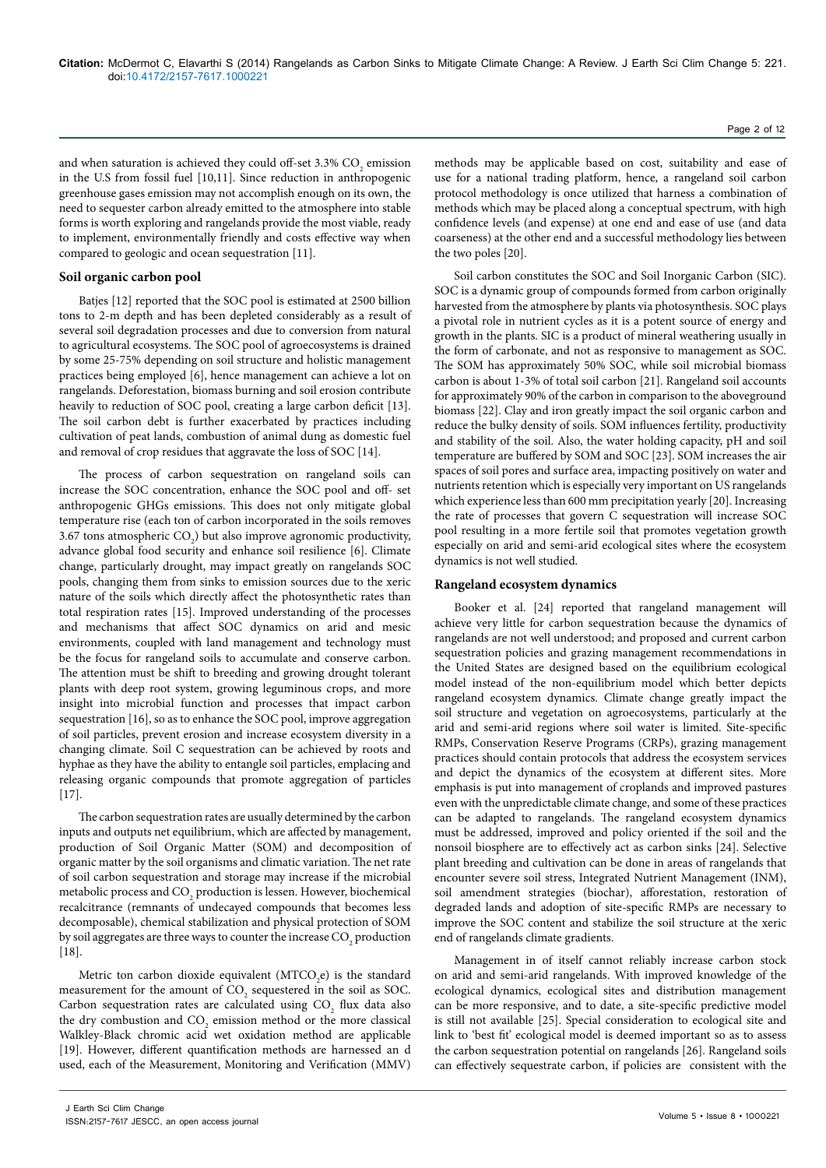and when saturation is achieved they could off-set 3.3%  $\mathrm{CO}_2$  emission in the U.S from fossil fuel [10,11]. Since reduction in anthropogenic greenhouse gases emission may not accomplish enough on its own, the need to sequester carbon already emitted to the atmosphere into stable forms is worth exploring and rangelands provide the most viable, ready to implement, environmentally friendly and costs effective way when compared to geologic and ocean sequestration [11].

## **Soil organic carbon pool**

Batjes [12] reported that the SOC pool is estimated at 2500 billion tons to 2-m depth and has been depleted considerably as a result of several soil degradation processes and due to conversion from natural to agricultural ecosystems. The SOC pool of agroecosystems is drained by some 25-75% depending on soil structure and holistic management practices being employed [6], hence management can achieve a lot on rangelands. Deforestation, biomass burning and soil erosion contribute heavily to reduction of SOC pool, creating a large carbon deficit [13]. The soil carbon debt is further exacerbated by practices including cultivation of peat lands, combustion of animal dung as domestic fuel and removal of crop residues that aggravate the loss of SOC [14].

The process of carbon sequestration on rangeland soils can increase the SOC concentration, enhance the SOC pool and off- set anthropogenic GHGs emissions. This does not only mitigate global temperature rise (each ton of carbon incorporated in the soils removes 3.67 tons atmospheric  $CO_2$ ) but also improve agronomic productivity, advance global food security and enhance soil resilience [6]. Climate change, particularly drought, may impact greatly on rangelands SOC pools, changing them from sinks to emission sources due to the xeric nature of the soils which directly affect the photosynthetic rates than total respiration rates [15]. Improved understanding of the processes and mechanisms that affect SOC dynamics on arid and mesic environments, coupled with land management and technology must be the focus for rangeland soils to accumulate and conserve carbon. The attention must be shift to breeding and growing drought tolerant plants with deep root system, growing leguminous crops, and more insight into microbial function and processes that impact carbon sequestration [16], so as to enhance the SOC pool, improve aggregation of soil particles, prevent erosion and increase ecosystem diversity in a changing climate. Soil C sequestration can be achieved by roots and hyphae as they have the ability to entangle soil particles, emplacing and releasing organic compounds that promote aggregation of particles  $[17]$ .

The carbon sequestration rates are usually determined by the carbon inputs and outputs net equilibrium, which are affected by management, production of Soil Organic Matter (SOM) and decomposition of organic matter by the soil organisms and climatic variation. The net rate of soil carbon sequestration and storage may increase if the microbial metabolic process and  $\mathrm{CO}_2$  production is lessen. However, biochemical recalcitrance (remnants of undecayed compounds that becomes less decomposable), chemical stabilization and physical protection of SOM by soil aggregates are three ways to counter the increase  $\mathrm{CO}_\mathrm{2}$  production [18].

Metric ton carbon dioxide equivalent  $(MTCO<sub>2</sub>e)$  is the standard measurement for the amount of  $\mathrm{CO}_2$  sequestered in the soil as SOC. Carbon sequestration rates are calculated using  $CO_2$  flux data also the dry combustion and  $\mathrm{CO}_2$  emission method or the more classical Walkley-Black chromic acid wet oxidation method are applicable [19]. However, different quantification methods are harnessed an d used, each of the Measurement, Monitoring and Verification (MMV)

methods may be applicable based on cost, suitability and ease of use for a national trading platform, hence, a rangeland soil carbon protocol methodology is once utilized that harness a combination of methods which may be placed along a conceptual spectrum, with high confidence levels (and expense) at one end and ease of use (and data coarseness) at the other end and a successful methodology lies between the two poles [20].

Soil carbon constitutes the SOC and Soil Inorganic Carbon (SIC). SOC is a dynamic group of compounds formed from carbon originally harvested from the atmosphere by plants via photosynthesis. SOC plays a pivotal role in nutrient cycles as it is a potent source of energy and growth in the plants. SIC is a product of mineral weathering usually in the form of carbonate, and not as responsive to management as SOC. The SOM has approximately 50% SOC, while soil microbial biomass carbon is about 1-3% of total soil carbon [21]. Rangeland soil accounts for approximately 90% of the carbon in comparison to the aboveground biomass [22]. Clay and iron greatly impact the soil organic carbon and reduce the bulky density of soils. SOM influences fertility, productivity and stability of the soil. Also, the water holding capacity, pH and soil temperature are buffered by SOM and SOC [23]. SOM increases the air spaces of soil pores and surface area, impacting positively on water and nutrients retention which is especially very important on US rangelands which experience less than 600 mm precipitation yearly [20]. Increasing the rate of processes that govern C sequestration will increase SOC pool resulting in a more fertile soil that promotes vegetation growth especially on arid and semi-arid ecological sites where the ecosystem dynamics is not well studied.

#### **Rangeland ecosystem dynamics**

Booker et al. [24] reported that rangeland management will achieve very little for carbon sequestration because the dynamics of rangelands are not well understood; and proposed and current carbon sequestration policies and grazing management recommendations in the United States are designed based on the equilibrium ecological model instead of the non-equilibrium model which better depicts rangeland ecosystem dynamics. Climate change greatly impact the soil structure and vegetation on agroecosystems, particularly at the arid and semi-arid regions where soil water is limited. Site-specific RMPs, Conservation Reserve Programs (CRPs), grazing management practices should contain protocols that address the ecosystem services and depict the dynamics of the ecosystem at different sites. More emphasis is put into management of croplands and improved pastures even with the unpredictable climate change, and some of these practices can be adapted to rangelands. The rangeland ecosystem dynamics must be addressed, improved and policy oriented if the soil and the nonsoil biosphere are to effectively act as carbon sinks [24]. Selective plant breeding and cultivation can be done in areas of rangelands that encounter severe soil stress, Integrated Nutrient Management (INM), soil amendment strategies (biochar), afforestation, restoration of degraded lands and adoption of site-specific RMPs are necessary to improve the SOC content and stabilize the soil structure at the xeric end of rangelands climate gradients.

Management in of itself cannot reliably increase carbon stock on arid and semi-arid rangelands. With improved knowledge of the ecological dynamics, ecological sites and distribution management can be more responsive, and to date, a site-specific predictive model is still not available [25]. Special consideration to ecological site and link to 'best fit' ecological model is deemed important so as to assess the carbon sequestration potential on rangelands [26]. Rangeland soils can effectively sequestrate carbon, if policies are consistent with the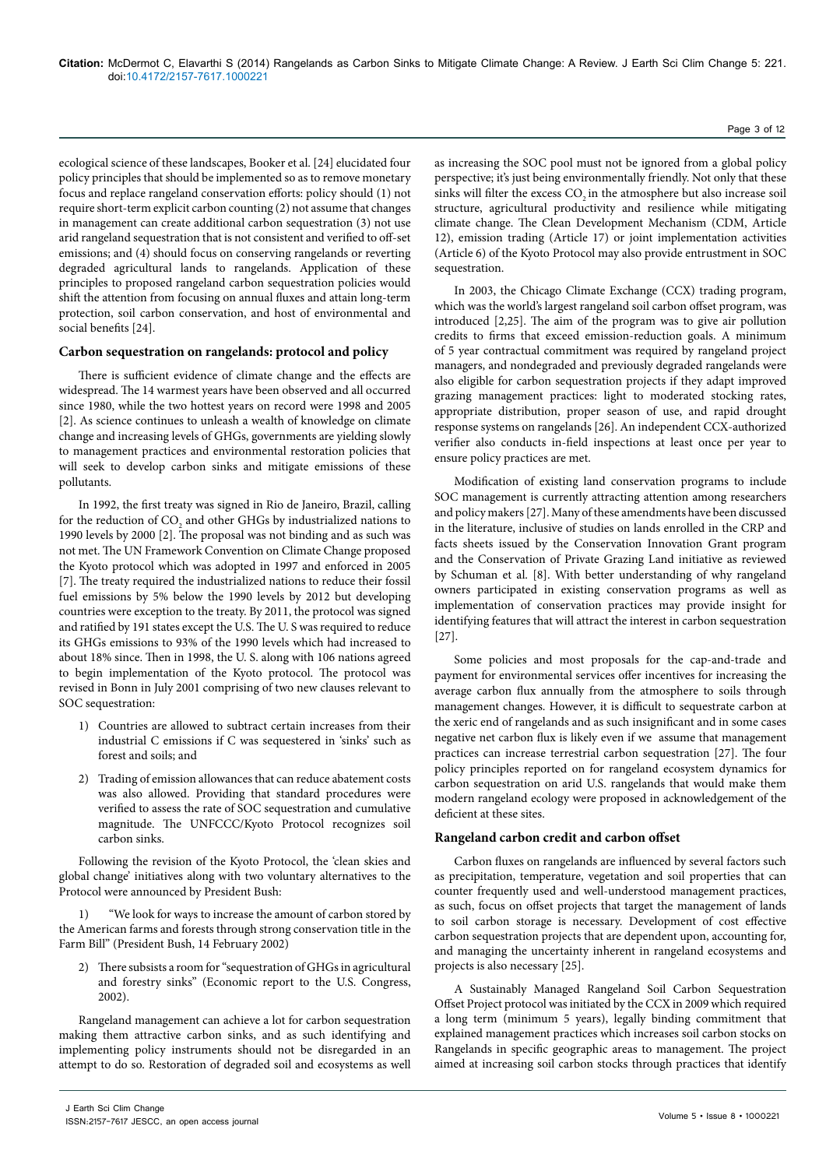ecological science of these landscapes, Booker et al. [24] elucidated four policy principles that should be implemented so as to remove monetary focus and replace rangeland conservation efforts: policy should (1) not require short-term explicit carbon counting (2) not assume that changes in management can create additional carbon sequestration (3) not use arid rangeland sequestration that is not consistent and verified to off-set emissions; and (4) should focus on conserving rangelands or reverting degraded agricultural lands to rangelands. Application of these principles to proposed rangeland carbon sequestration policies would shift the attention from focusing on annual fluxes and attain long-term protection, soil carbon conservation, and host of environmental and social benefits [24].

## **Carbon sequestration on rangelands: protocol and policy**

There is sufficient evidence of climate change and the effects are widespread. The 14 warmest years have been observed and all occurred since 1980, while the two hottest years on record were 1998 and 2005 [2]. As science continues to unleash a wealth of knowledge on climate change and increasing levels of GHGs, governments are yielding slowly to management practices and environmental restoration policies that will seek to develop carbon sinks and mitigate emissions of these pollutants.

In 1992, the first treaty was signed in Rio de Janeiro, Brazil, calling for the reduction of  $\mathrm{CO}_2$  and other GHGs by industrialized nations to 1990 levels by 2000 [2]. The proposal was not binding and as such was not met. The UN Framework Convention on Climate Change proposed the Kyoto protocol which was adopted in 1997 and enforced in 2005 [7]. The treaty required the industrialized nations to reduce their fossil fuel emissions by 5% below the 1990 levels by 2012 but developing countries were exception to the treaty. By 2011, the protocol was signed and ratified by 191 states except the U.S. The U. S was required to reduce its GHGs emissions to 93% of the 1990 levels which had increased to about 18% since. Then in 1998, the U. S. along with 106 nations agreed to begin implementation of the Kyoto protocol. The protocol was revised in Bonn in July 2001 comprising of two new clauses relevant to SOC sequestration:

- 1) Countries are allowed to subtract certain increases from their industrial C emissions if C was sequestered in 'sinks' such as forest and soils; and
- 2) Trading of emission allowances that can reduce abatement costs was also allowed. Providing that standard procedures were verified to assess the rate of SOC sequestration and cumulative magnitude. The UNFCCC/Kyoto Protocol recognizes soil carbon sinks.

Following the revision of the Kyoto Protocol, the 'clean skies and global change' initiatives along with two voluntary alternatives to the Protocol were announced by President Bush:

1) "We look for ways to increase the amount of carbon stored by the American farms and forests through strong conservation title in the Farm Bill" (President Bush, 14 February 2002)

2) There subsists a room for "sequestration of GHGs in agricultural and forestry sinks" (Economic report to the U.S. Congress, 2002).

Rangeland management can achieve a lot for carbon sequestration making them attractive carbon sinks, and as such identifying and implementing policy instruments should not be disregarded in an attempt to do so. Restoration of degraded soil and ecosystems as well

J Earth Sci Clim Change

ISSN:2157-7617 JESCC, an open access journal

as increasing the SOC pool must not be ignored from a global policy perspective; it's just being environmentally friendly. Not only that these sinks will filter the excess CO<sub>2</sub> in the atmosphere but also increase soil structure, agricultural productivity and resilience while mitigating climate change. The Clean Development Mechanism (CDM, Article 12), emission trading (Article 17) or joint implementation activities (Article 6) of the Kyoto Protocol may also provide entrustment in SOC sequestration.

In 2003, the Chicago Climate Exchange (CCX) trading program, which was the world's largest rangeland soil carbon offset program, was introduced [2,25]. The aim of the program was to give air pollution credits to firms that exceed emission-reduction goals. A minimum of 5 year contractual commitment was required by rangeland project managers, and nondegraded and previously degraded rangelands were also eligible for carbon sequestration projects if they adapt improved grazing management practices: light to moderated stocking rates, appropriate distribution, proper season of use, and rapid drought response systems on rangelands [26]. An independent CCX-authorized verifier also conducts in-field inspections at least once per year to ensure policy practices are met.

Modification of existing land conservation programs to include SOC management is currently attracting attention among researchers and policy makers [27]. Many of these amendments have been discussed in the literature, inclusive of studies on lands enrolled in the CRP and facts sheets issued by the Conservation Innovation Grant program and the Conservation of Private Grazing Land initiative as reviewed by Schuman et al. [8]. With better understanding of why rangeland owners participated in existing conservation programs as well as implementation of conservation practices may provide insight for identifying features that will attract the interest in carbon sequestration [27].

Some policies and most proposals for the cap-and-trade and payment for environmental services offer incentives for increasing the average carbon flux annually from the atmosphere to soils through management changes. However, it is difficult to sequestrate carbon at the xeric end of rangelands and as such insignificant and in some cases negative net carbon flux is likely even if we assume that management practices can increase terrestrial carbon sequestration [27]. The four policy principles reported on for rangeland ecosystem dynamics for carbon sequestration on arid U.S. rangelands that would make them modern rangeland ecology were proposed in acknowledgement of the deficient at these sites.

## **Rangeland carbon credit and carbon offset**

Carbon fluxes on rangelands are influenced by several factors such as precipitation, temperature, vegetation and soil properties that can counter frequently used and well-understood management practices, as such, focus on offset projects that target the management of lands to soil carbon storage is necessary. Development of cost effective carbon sequestration projects that are dependent upon, accounting for, and managing the uncertainty inherent in rangeland ecosystems and projects is also necessary [25].

A Sustainably Managed Rangeland Soil Carbon Sequestration Offset Project protocol was initiated by the CCX in 2009 which required a long term (minimum 5 years), legally binding commitment that explained management practices which increases soil carbon stocks on Rangelands in specific geographic areas to management. The project aimed at increasing soil carbon stocks through practices that identify

Page 3 of 12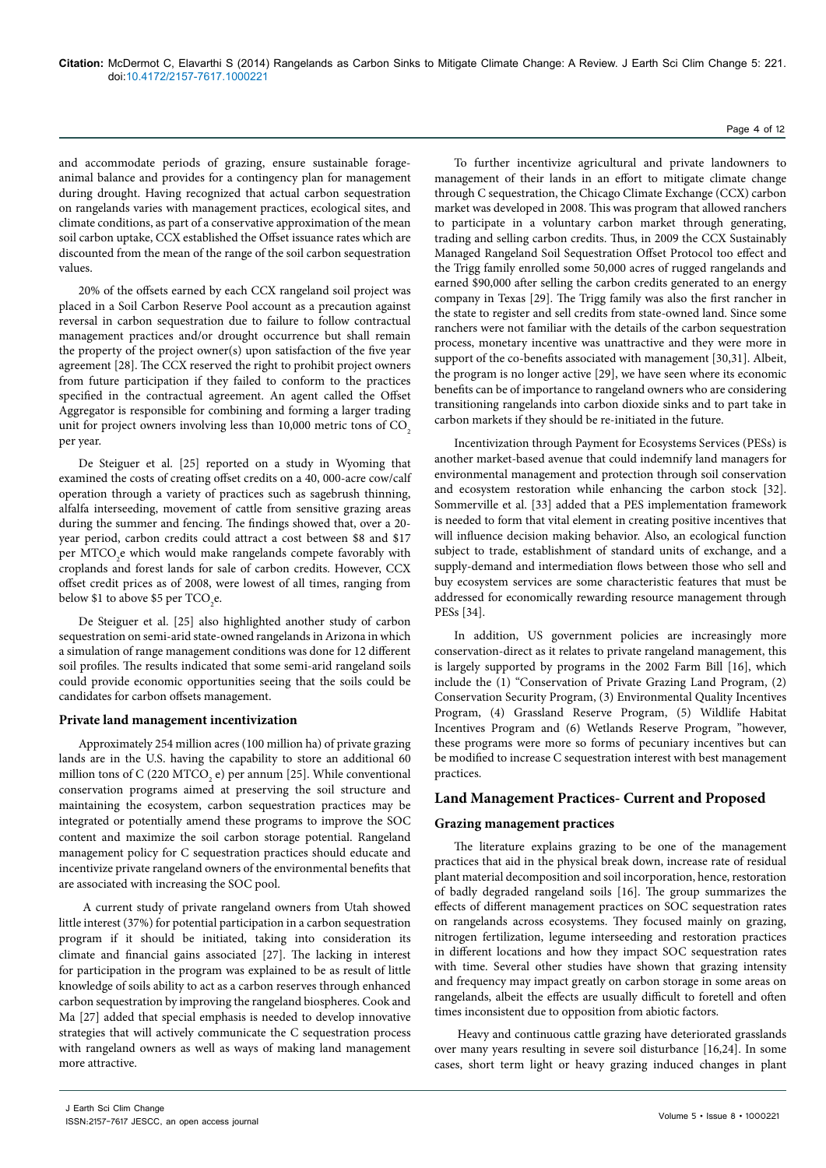and accommodate periods of grazing, ensure sustainable forageanimal balance and provides for a contingency plan for management during drought. Having recognized that actual carbon sequestration on rangelands varies with management practices, ecological sites, and climate conditions, as part of a conservative approximation of the mean soil carbon uptake, CCX established the Offset issuance rates which are discounted from the mean of the range of the soil carbon sequestration values.

20% of the offsets earned by each CCX rangeland soil project was placed in a Soil Carbon Reserve Pool account as a precaution against reversal in carbon sequestration due to failure to follow contractual management practices and/or drought occurrence but shall remain the property of the project owner(s) upon satisfaction of the five year agreement [28]. The CCX reserved the right to prohibit project owners from future participation if they failed to conform to the practices specified in the contractual agreement. An agent called the Offset Aggregator is responsible for combining and forming a larger trading unit for project owners involving less than 10,000 metric tons of CO<sub>2</sub> per year.

De Steiguer et al. [25] reported on a study in Wyoming that examined the costs of creating offset credits on a 40, 000-acre cow/calf operation through a variety of practices such as sagebrush thinning, alfalfa interseeding, movement of cattle from sensitive grazing areas during the summer and fencing. The findings showed that, over a 20 year period, carbon credits could attract a cost between \$8 and \$17 per  $\mathrm{MTCO}_2$ e which would make rangelands compete favorably with croplands and forest lands for sale of carbon credits. However, CCX offset credit prices as of 2008, were lowest of all times, ranging from below \$1 to above \$5 per  $TCO<sub>2</sub>$ e.

De Steiguer et al. [25] also highlighted another study of carbon sequestration on semi-arid state-owned rangelands in Arizona in which a simulation of range management conditions was done for 12 different soil profiles. The results indicated that some semi-arid rangeland soils could provide economic opportunities seeing that the soils could be candidates for carbon offsets management.

## **Private land management incentivization**

Approximately 254 million acres (100 million ha) of private grazing lands are in the U.S. having the capability to store an additional 60 million tons of C (220 MTCO<sub>2</sub> e) per annum [25]. While conventional conservation programs aimed at preserving the soil structure and maintaining the ecosystem, carbon sequestration practices may be integrated or potentially amend these programs to improve the SOC content and maximize the soil carbon storage potential. Rangeland management policy for C sequestration practices should educate and incentivize private rangeland owners of the environmental benefits that are associated with increasing the SOC pool.

 A current study of private rangeland owners from Utah showed little interest (37%) for potential participation in a carbon sequestration program if it should be initiated, taking into consideration its climate and financial gains associated [27]. The lacking in interest for participation in the program was explained to be as result of little knowledge of soils ability to act as a carbon reserves through enhanced carbon sequestration by improving the rangeland biospheres. Cook and Ma [27] added that special emphasis is needed to develop innovative strategies that will actively communicate the C sequestration process with rangeland owners as well as ways of making land management more attractive.

To further incentivize agricultural and private landowners to management of their lands in an effort to mitigate climate change through C sequestration, the Chicago Climate Exchange (CCX) carbon market was developed in 2008. This was program that allowed ranchers to participate in a voluntary carbon market through generating, trading and selling carbon credits. Thus, in 2009 the CCX Sustainably Managed Rangeland Soil Sequestration Offset Protocol too effect and the Trigg family enrolled some 50,000 acres of rugged rangelands and earned \$90,000 after selling the carbon credits generated to an energy company in Texas [29]. The Trigg family was also the first rancher in the state to register and sell credits from state-owned land. Since some ranchers were not familiar with the details of the carbon sequestration process, monetary incentive was unattractive and they were more in support of the co-benefits associated with management [30,31]. Albeit, the program is no longer active [29], we have seen where its economic benefits can be of importance to rangeland owners who are considering transitioning rangelands into carbon dioxide sinks and to part take in carbon markets if they should be re-initiated in the future.

Incentivization through Payment for Ecosystems Services (PESs) is another market-based avenue that could indemnify land managers for environmental management and protection through soil conservation and ecosystem restoration while enhancing the carbon stock [32]. Sommerville et al. [33] added that a PES implementation framework is needed to form that vital element in creating positive incentives that will influence decision making behavior. Also, an ecological function subject to trade, establishment of standard units of exchange, and a supply-demand and intermediation flows between those who sell and buy ecosystem services are some characteristic features that must be addressed for economically rewarding resource management through PESs [34].

In addition, US government policies are increasingly more conservation-direct as it relates to private rangeland management, this is largely supported by programs in the 2002 Farm Bill [16], which include the (1) "Conservation of Private Grazing Land Program, (2) Conservation Security Program, (3) Environmental Quality Incentives Program, (4) Grassland Reserve Program, (5) Wildlife Habitat Incentives Program and (6) Wetlands Reserve Program, "however, these programs were more so forms of pecuniary incentives but can be modified to increase C sequestration interest with best management practices.

# **Land Management Practices- Current and Proposed**

# **Grazing management practices**

The literature explains grazing to be one of the management practices that aid in the physical break down, increase rate of residual plant material decomposition and soil incorporation, hence, restoration of badly degraded rangeland soils [16]. The group summarizes the effects of different management practices on SOC sequestration rates on rangelands across ecosystems. They focused mainly on grazing, nitrogen fertilization, legume interseeding and restoration practices in different locations and how they impact SOC sequestration rates with time. Several other studies have shown that grazing intensity and frequency may impact greatly on carbon storage in some areas on rangelands, albeit the effects are usually difficult to foretell and often times inconsistent due to opposition from abiotic factors.

 Heavy and continuous cattle grazing have deteriorated grasslands over many years resulting in severe soil disturbance [16,24]. In some cases, short term light or heavy grazing induced changes in plant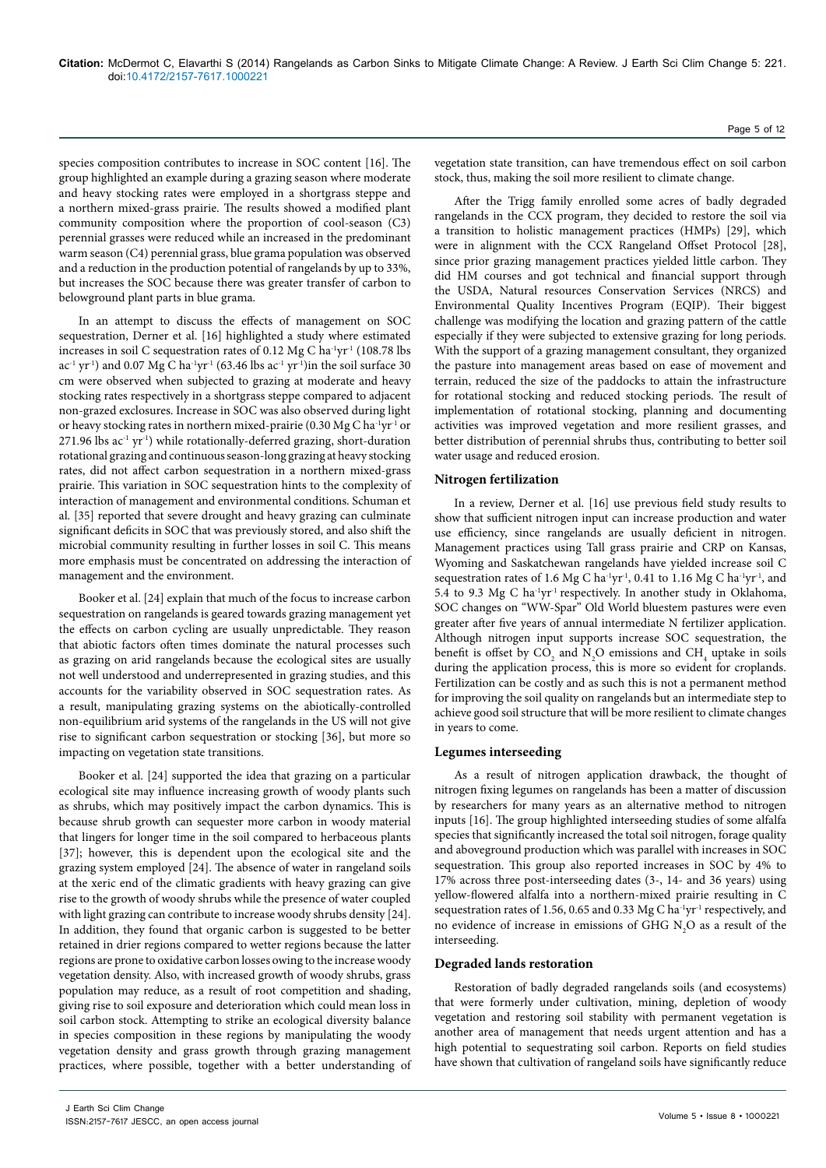species composition contributes to increase in SOC content [16]. The group highlighted an example during a grazing season where moderate and heavy stocking rates were employed in a shortgrass steppe and a northern mixed-grass prairie. The results showed a modified plant community composition where the proportion of cool-season (C3) perennial grasses were reduced while an increased in the predominant warm season (C4) perennial grass, blue grama population was observed and a reduction in the production potential of rangelands by up to 33%, but increases the SOC because there was greater transfer of carbon to belowground plant parts in blue grama.

In an attempt to discuss the effects of management on SOC sequestration, Derner et al. [16] highlighted a study where estimated increases in soil C sequestration rates of 0.12 Mg C ha<sup>-1</sup>yr<sup>-1</sup> (108.78 lbs ac $1}$  yr $^1$ ) and 0.07 Mg C ha $\rm ^1yr^+$  (63.46 lbs ac $\rm ^1$  yr $\rm ^1)$  in the soil surface 30 cm were observed when subjected to grazing at moderate and heavy stocking rates respectively in a shortgrass steppe compared to adjacent non-grazed exclosures. Increase in SOC was also observed during light or heavy stocking rates in northern mixed-prairie (0.30 Mg C ha<sup>-1</sup>yr<sup>-1</sup> or  $271.96$  lbs ac<sup>-1</sup> yr<sup>-1</sup>) while rotationally-deferred grazing, short-duration rotational grazing and continuous season-long grazing at heavy stocking rates, did not affect carbon sequestration in a northern mixed-grass prairie. This variation in SOC sequestration hints to the complexity of interaction of management and environmental conditions. Schuman et al. [35] reported that severe drought and heavy grazing can culminate significant deficits in SOC that was previously stored, and also shift the microbial community resulting in further losses in soil C. This means more emphasis must be concentrated on addressing the interaction of management and the environment.

Booker et al. [24] explain that much of the focus to increase carbon sequestration on rangelands is geared towards grazing management yet the effects on carbon cycling are usually unpredictable. They reason that abiotic factors often times dominate the natural processes such as grazing on arid rangelands because the ecological sites are usually not well understood and underrepresented in grazing studies, and this accounts for the variability observed in SOC sequestration rates. As a result, manipulating grazing systems on the abiotically-controlled non-equilibrium arid systems of the rangelands in the US will not give rise to significant carbon sequestration or stocking [36], but more so impacting on vegetation state transitions.

Booker et al. [24] supported the idea that grazing on a particular ecological site may influence increasing growth of woody plants such as shrubs, which may positively impact the carbon dynamics. This is because shrub growth can sequester more carbon in woody material that lingers for longer time in the soil compared to herbaceous plants [37]; however, this is dependent upon the ecological site and the grazing system employed [24]. The absence of water in rangeland soils at the xeric end of the climatic gradients with heavy grazing can give rise to the growth of woody shrubs while the presence of water coupled with light grazing can contribute to increase woody shrubs density [24]. In addition, they found that organic carbon is suggested to be better retained in drier regions compared to wetter regions because the latter regions are prone to oxidative carbon losses owing to the increase woody vegetation density. Also, with increased growth of woody shrubs, grass population may reduce, as a result of root competition and shading, giving rise to soil exposure and deterioration which could mean loss in soil carbon stock. Attempting to strike an ecological diversity balance in species composition in these regions by manipulating the woody vegetation density and grass growth through grazing management practices, where possible, together with a better understanding of vegetation state transition, can have tremendous effect on soil carbon stock, thus, making the soil more resilient to climate change.

After the Trigg family enrolled some acres of badly degraded rangelands in the CCX program, they decided to restore the soil via a transition to holistic management practices (HMPs) [29], which were in alignment with the CCX Rangeland Offset Protocol [28], since prior grazing management practices yielded little carbon. They did HM courses and got technical and financial support through the USDA, Natural resources Conservation Services (NRCS) and Environmental Quality Incentives Program (EQIP). Their biggest challenge was modifying the location and grazing pattern of the cattle especially if they were subjected to extensive grazing for long periods. With the support of a grazing management consultant, they organized the pasture into management areas based on ease of movement and terrain, reduced the size of the paddocks to attain the infrastructure for rotational stocking and reduced stocking periods. The result of implementation of rotational stocking, planning and documenting activities was improved vegetation and more resilient grasses, and better distribution of perennial shrubs thus, contributing to better soil water usage and reduced erosion.

# **Nitrogen fertilization**

In a review, Derner et al. [16] use previous field study results to show that sufficient nitrogen input can increase production and water use efficiency, since rangelands are usually deficient in nitrogen. Management practices using Tall grass prairie and CRP on Kansas, Wyoming and Saskatchewan rangelands have yielded increase soil C sequestration rates of 1.6 Mg C ha<sup>-1</sup>yr<sup>-1</sup>, 0.41 to 1.16 Mg C ha<sup>-1</sup>yr<sup>-1</sup>, and 5.4 to 9.3 Mg C ha<sup>-1</sup>yr<sup>-1</sup> respectively. In another study in Oklahoma, SOC changes on "WW-Spar" Old World bluestem pastures were even greater after five years of annual intermediate N fertilizer application. Although nitrogen input supports increase SOC sequestration, the benefit is offset by  $CO_2$  and  $N_2O$  emissions and  $CH_4$  uptake in soils during the application process, this is more so evident for croplands. Fertilization can be costly and as such this is not a permanent method for improving the soil quality on rangelands but an intermediate step to achieve good soil structure that will be more resilient to climate changes in years to come.

## **Legumes interseeding**

As a result of nitrogen application drawback, the thought of nitrogen fixing legumes on rangelands has been a matter of discussion by researchers for many years as an alternative method to nitrogen inputs [16]. The group highlighted interseeding studies of some alfalfa species that significantly increased the total soil nitrogen, forage quality and aboveground production which was parallel with increases in SOC sequestration. This group also reported increases in SOC by 4% to 17% across three post-interseeding dates (3-, 14- and 36 years) using yellow-flowered alfalfa into a northern-mixed prairie resulting in C sequestration rates of 1.56, 0.65 and 0.33 Mg C ha<sup>-1</sup>yr<sup>-1</sup> respectively, and no evidence of increase in emissions of GHG  $N_2O$  as a result of the interseeding.

## **Degraded lands restoration**

Restoration of badly degraded rangelands soils (and ecosystems) that were formerly under cultivation, mining, depletion of woody vegetation and restoring soil stability with permanent vegetation is another area of management that needs urgent attention and has a high potential to sequestrating soil carbon. Reports on field studies have shown that cultivation of rangeland soils have significantly reduce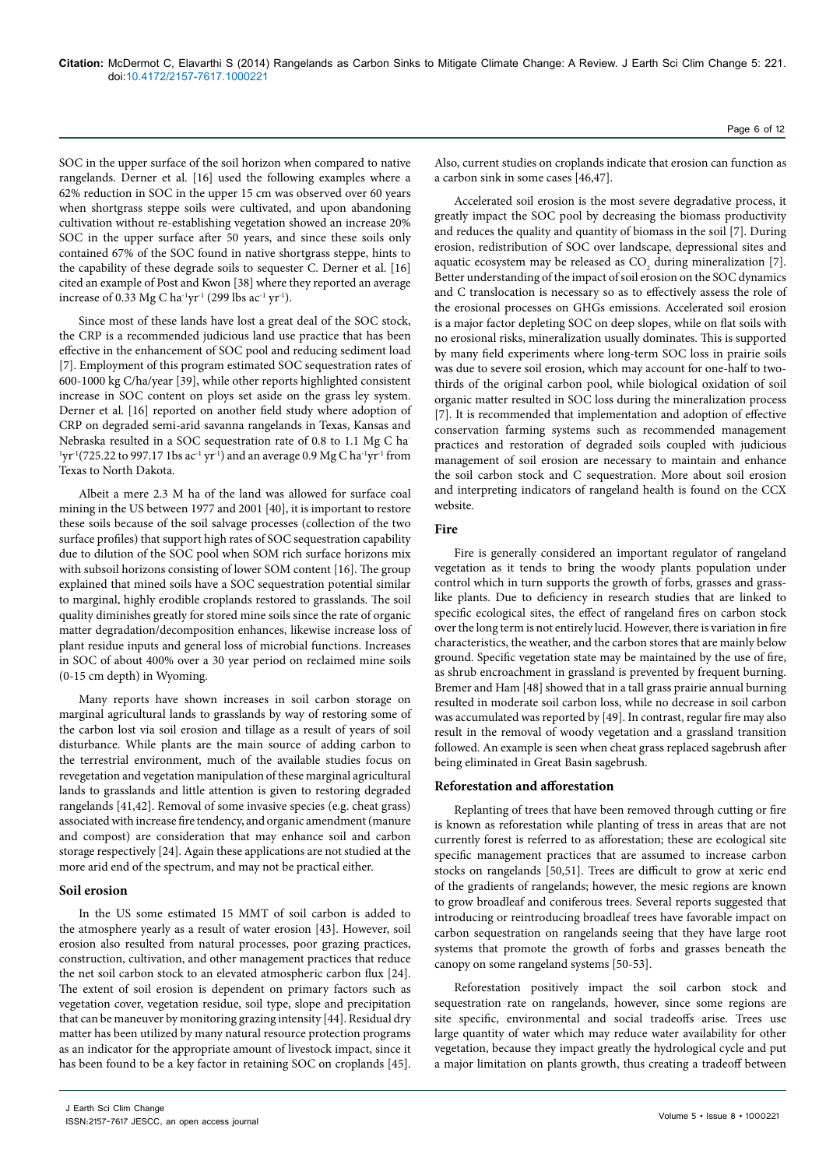SOC in the upper surface of the soil horizon when compared to native rangelands. Derner et al. [16] used the following examples where a 62% reduction in SOC in the upper 15 cm was observed over 60 years when shortgrass steppe soils were cultivated, and upon abandoning cultivation without re-establishing vegetation showed an increase 20% SOC in the upper surface after 50 years, and since these soils only contained 67% of the SOC found in native shortgrass steppe, hints to the capability of these degrade soils to sequester C. Derner et al. [16] cited an example of Post and Kwon [38] where they reported an average increase of 0.33 Mg C ha<sup>-1</sup>yr<sup>-1</sup> (299 lbs ac<sup>-1</sup> yr<sup>-1</sup>).

Since most of these lands have lost a great deal of the SOC stock, the CRP is a recommended judicious land use practice that has been effective in the enhancement of SOC pool and reducing sediment load [7]. Employment of this program estimated SOC sequestration rates of 600-1000 kg C/ha/year [39], while other reports highlighted consistent increase in SOC content on ploys set aside on the grass ley system. Derner et al. [16] reported on another field study where adoption of CRP on degraded semi-arid savanna rangelands in Texas, Kansas and Nebraska resulted in a SOC sequestration rate of 0.8 to 1.1 Mg C ha- $\rm ^1yr$   $\rm ^1(725.22$  to 997.17  $\rm 1bs$  ac $\rm ^1yr$   $\rm ^1)$  and an average 0.9 Mg C ha $\rm ^1yr$   $\rm ^1$  from Texas to North Dakota.

Albeit a mere 2.3 M ha of the land was allowed for surface coal mining in the US between 1977 and 2001 [40], it is important to restore these soils because of the soil salvage processes (collection of the two surface profiles) that support high rates of SOC sequestration capability due to dilution of the SOC pool when SOM rich surface horizons mix with subsoil horizons consisting of lower SOM content [16]. The group explained that mined soils have a SOC sequestration potential similar to marginal, highly erodible croplands restored to grasslands. The soil quality diminishes greatly for stored mine soils since the rate of organic matter degradation/decomposition enhances, likewise increase loss of plant residue inputs and general loss of microbial functions. Increases in SOC of about 400% over a 30 year period on reclaimed mine soils (0-15 cm depth) in Wyoming.

Many reports have shown increases in soil carbon storage on marginal agricultural lands to grasslands by way of restoring some of the carbon lost via soil erosion and tillage as a result of years of soil disturbance. While plants are the main source of adding carbon to the terrestrial environment, much of the available studies focus on revegetation and vegetation manipulation of these marginal agricultural lands to grasslands and little attention is given to restoring degraded rangelands [41,42]. Removal of some invasive species (e.g. cheat grass) associated with increase fire tendency, and organic amendment (manure and compost) are consideration that may enhance soil and carbon storage respectively [24]. Again these applications are not studied at the more arid end of the spectrum, and may not be practical either.

## **Soil erosion**

In the US some estimated 15 MMT of soil carbon is added to the atmosphere yearly as a result of water erosion [43]. However, soil erosion also resulted from natural processes, poor grazing practices, construction, cultivation, and other management practices that reduce the net soil carbon stock to an elevated atmospheric carbon flux [24]. The extent of soil erosion is dependent on primary factors such as vegetation cover, vegetation residue, soil type, slope and precipitation that can be maneuver by monitoring grazing intensity [44]. Residual dry matter has been utilized by many natural resource protection programs as an indicator for the appropriate amount of livestock impact, since it has been found to be a key factor in retaining SOC on croplands [45]. Also, current studies on croplands indicate that erosion can function as a carbon sink in some cases [46,47].

Accelerated soil erosion is the most severe degradative process, it greatly impact the SOC pool by decreasing the biomass productivity and reduces the quality and quantity of biomass in the soil [7]. During erosion, redistribution of SOC over landscape, depressional sites and aquatic ecosystem may be released as  $CO<sub>2</sub>$  during mineralization [7]. Better understanding of the impact of soil erosion on the SOC dynamics and C translocation is necessary so as to effectively assess the role of the erosional processes on GHGs emissions. Accelerated soil erosion is a major factor depleting SOC on deep slopes, while on flat soils with no erosional risks, mineralization usually dominates. This is supported by many field experiments where long-term SOC loss in prairie soils was due to severe soil erosion, which may account for one-half to twothirds of the original carbon pool, while biological oxidation of soil organic matter resulted in SOC loss during the mineralization process [7]. It is recommended that implementation and adoption of effective conservation farming systems such as recommended management practices and restoration of degraded soils coupled with judicious management of soil erosion are necessary to maintain and enhance the soil carbon stock and C sequestration. More about soil erosion and interpreting indicators of rangeland health is found on the CCX website.

#### **Fire**

Fire is generally considered an important regulator of rangeland vegetation as it tends to bring the woody plants population under control which in turn supports the growth of forbs, grasses and grasslike plants. Due to deficiency in research studies that are linked to specific ecological sites, the effect of rangeland fires on carbon stock over the long term is not entirely lucid. However, there is variation in fire characteristics, the weather, and the carbon stores that are mainly below ground. Specific vegetation state may be maintained by the use of fire, as shrub encroachment in grassland is prevented by frequent burning. Bremer and Ham [48] showed that in a tall grass prairie annual burning resulted in moderate soil carbon loss, while no decrease in soil carbon was accumulated was reported by [49]. In contrast, regular fire may also result in the removal of woody vegetation and a grassland transition followed. An example is seen when cheat grass replaced sagebrush after being eliminated in Great Basin sagebrush.

## **Reforestation and afforestation**

Replanting of trees that have been removed through cutting or fire is known as reforestation while planting of tress in areas that are not currently forest is referred to as afforestation; these are ecological site specific management practices that are assumed to increase carbon stocks on rangelands [50,51]. Trees are difficult to grow at xeric end of the gradients of rangelands; however, the mesic regions are known to grow broadleaf and coniferous trees. Several reports suggested that introducing or reintroducing broadleaf trees have favorable impact on carbon sequestration on rangelands seeing that they have large root systems that promote the growth of forbs and grasses beneath the canopy on some rangeland systems [50-53].

Reforestation positively impact the soil carbon stock and sequestration rate on rangelands, however, since some regions are site specific, environmental and social tradeoffs arise. Trees use large quantity of water which may reduce water availability for other vegetation, because they impact greatly the hydrological cycle and put a major limitation on plants growth, thus creating a tradeoff between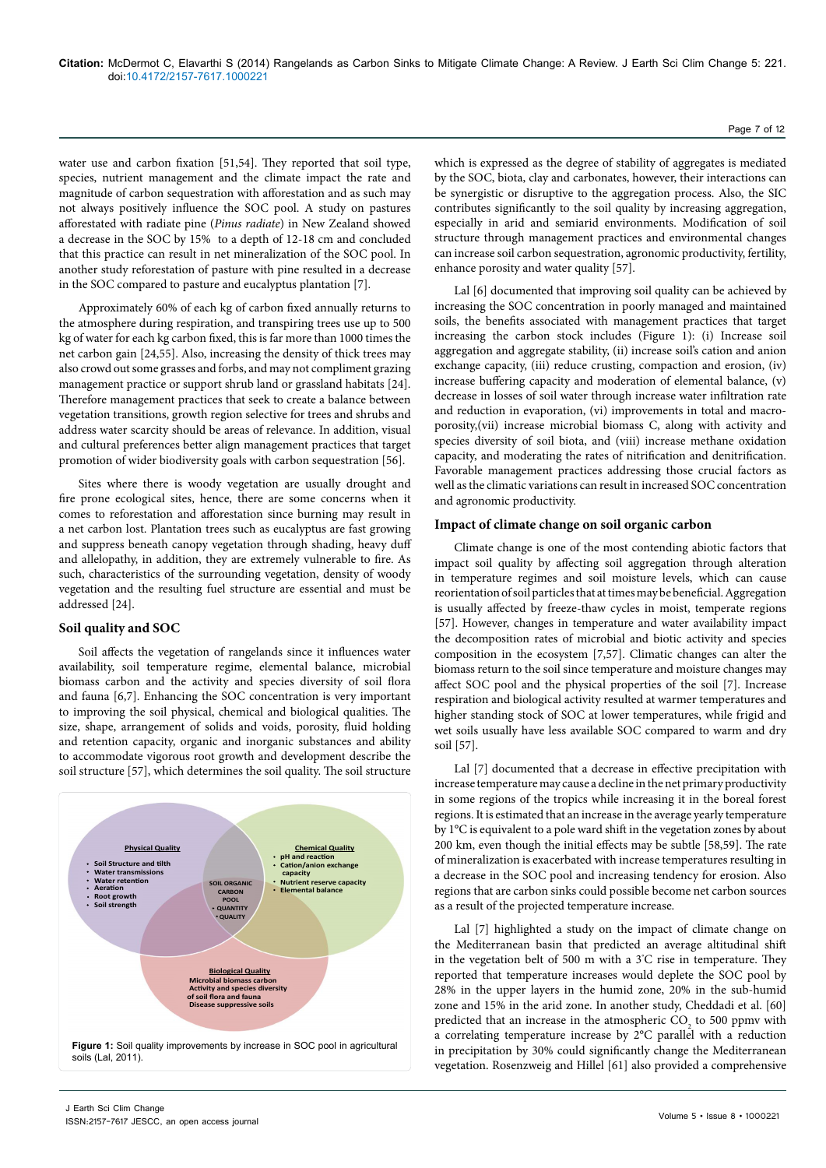water use and carbon fixation [51,54]. They reported that soil type, species, nutrient management and the climate impact the rate and magnitude of carbon sequestration with afforestation and as such may not always positively influence the SOC pool. A study on pastures afforestated with radiate pine (*Pinus radiate*) in New Zealand showed a decrease in the SOC by 15% to a depth of 12-18 cm and concluded that this practice can result in net mineralization of the SOC pool. In another study reforestation of pasture with pine resulted in a decrease in the SOC compared to pasture and eucalyptus plantation [7].

Approximately 60% of each kg of carbon fixed annually returns to the atmosphere during respiration, and transpiring trees use up to 500 kg of water for each kg carbon fixed, this is far more than 1000 times the net carbon gain [24,55]. Also, increasing the density of thick trees may also crowd out some grasses and forbs, and may not compliment grazing management practice or support shrub land or grassland habitats [24]. Therefore management practices that seek to create a balance between vegetation transitions, growth region selective for trees and shrubs and address water scarcity should be areas of relevance. In addition, visual and cultural preferences better align management practices that target promotion of wider biodiversity goals with carbon sequestration [56].

Sites where there is woody vegetation are usually drought and fire prone ecological sites, hence, there are some concerns when it comes to reforestation and afforestation since burning may result in a net carbon lost. Plantation trees such as eucalyptus are fast growing and suppress beneath canopy vegetation through shading, heavy duff and allelopathy, in addition, they are extremely vulnerable to fire. As such, characteristics of the surrounding vegetation, density of woody vegetation and the resulting fuel structure are essential and must be addressed [24].

# **Soil quality and SOC**

Soil affects the vegetation of rangelands since it influences water availability, soil temperature regime, elemental balance, microbial biomass carbon and the activity and species diversity of soil flora and fauna [6,7]. Enhancing the SOC concentration is very important to improving the soil physical, chemical and biological qualities. The size, shape, arrangement of solids and voids, porosity, fluid holding and retention capacity, organic and inorganic substances and ability to accommodate vigorous root growth and development describe the soil structure [57], which determines the soil quality. The soil structure



which is expressed as the degree of stability of aggregates is mediated by the SOC, biota, clay and carbonates, however, their interactions can be synergistic or disruptive to the aggregation process. Also, the SIC contributes significantly to the soil quality by increasing aggregation, especially in arid and semiarid environments. Modification of soil structure through management practices and environmental changes can increase soil carbon sequestration, agronomic productivity, fertility, enhance porosity and water quality [57].

Lal [6] documented that improving soil quality can be achieved by increasing the SOC concentration in poorly managed and maintained soils, the benefits associated with management practices that target increasing the carbon stock includes (Figure 1): (i) Increase soil aggregation and aggregate stability, (ii) increase soil's cation and anion exchange capacity, (iii) reduce crusting, compaction and erosion, (iv) increase buffering capacity and moderation of elemental balance, (v) decrease in losses of soil water through increase water infiltration rate and reduction in evaporation, (vi) improvements in total and macroporosity,(vii) increase microbial biomass C, along with activity and species diversity of soil biota, and (viii) increase methane oxidation capacity, and moderating the rates of nitrification and denitrification. Favorable management practices addressing those crucial factors as well as the climatic variations can result in increased SOC concentration and agronomic productivity.

#### **Impact of climate change on soil organic carbon**

Climate change is one of the most contending abiotic factors that impact soil quality by affecting soil aggregation through alteration in temperature regimes and soil moisture levels, which can cause reorientation of soil particles that at times may be beneficial. Aggregation is usually affected by freeze-thaw cycles in moist, temperate regions [57]. However, changes in temperature and water availability impact the decomposition rates of microbial and biotic activity and species composition in the ecosystem [7,57]. Climatic changes can alter the biomass return to the soil since temperature and moisture changes may affect SOC pool and the physical properties of the soil [7]. Increase respiration and biological activity resulted at warmer temperatures and higher standing stock of SOC at lower temperatures, while frigid and wet soils usually have less available SOC compared to warm and dry soil [57].

Lal [7] documented that a decrease in effective precipitation with increase temperature may cause a decline in the net primary productivity in some regions of the tropics while increasing it in the boreal forest regions. It is estimated that an increase in the average yearly temperature by 1°C is equivalent to a pole ward shift in the vegetation zones by about 200 km, even though the initial effects may be subtle [58,59]. The rate of mineralization is exacerbated with increase temperatures resulting in a decrease in the SOC pool and increasing tendency for erosion. Also regions that are carbon sinks could possible become net carbon sources as a result of the projected temperature increase.

Lal [7] highlighted a study on the impact of climate change on the Mediterranean basin that predicted an average altitudinal shift in the vegetation belt of 500 m with a 3° C rise in temperature. They reported that temperature increases would deplete the SOC pool by 28% in the upper layers in the humid zone, 20% in the sub-humid zone and 15% in the arid zone. In another study, Cheddadi et al. [60] predicted that an increase in the atmospheric  $CO_2$  to 500 ppmv with a correlating temperature increase by 2°C parallel with a reduction in precipitation by 30% could significantly change the Mediterranean vegetation. Rosenzweig and Hillel [61] also provided a comprehensive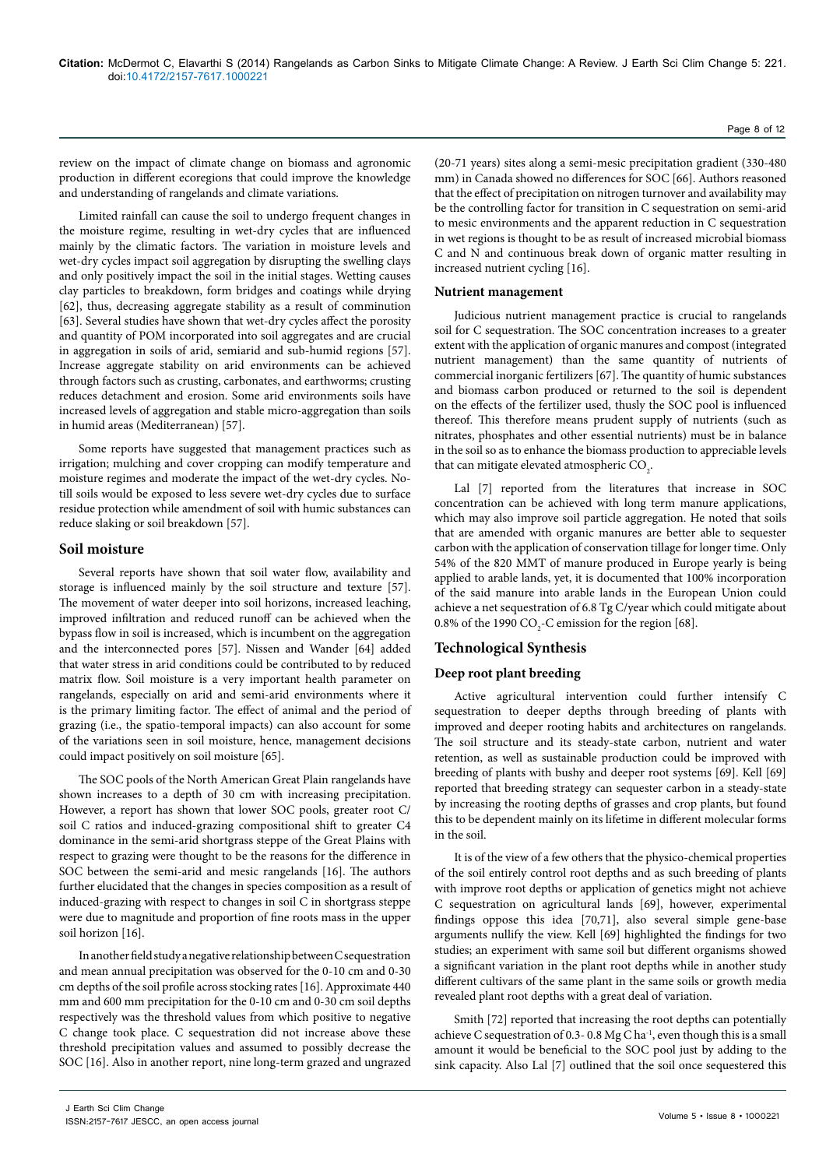review on the impact of climate change on biomass and agronomic production in different ecoregions that could improve the knowledge and understanding of rangelands and climate variations.

Limited rainfall can cause the soil to undergo frequent changes in the moisture regime, resulting in wet-dry cycles that are influenced mainly by the climatic factors. The variation in moisture levels and wet-dry cycles impact soil aggregation by disrupting the swelling clays and only positively impact the soil in the initial stages. Wetting causes clay particles to breakdown, form bridges and coatings while drying [62], thus, decreasing aggregate stability as a result of comminution [63]. Several studies have shown that wet-dry cycles affect the porosity and quantity of POM incorporated into soil aggregates and are crucial in aggregation in soils of arid, semiarid and sub-humid regions [57]. Increase aggregate stability on arid environments can be achieved through factors such as crusting, carbonates, and earthworms; crusting reduces detachment and erosion. Some arid environments soils have increased levels of aggregation and stable micro-aggregation than soils in humid areas (Mediterranean) [57].

Some reports have suggested that management practices such as irrigation; mulching and cover cropping can modify temperature and moisture regimes and moderate the impact of the wet-dry cycles. Notill soils would be exposed to less severe wet-dry cycles due to surface residue protection while amendment of soil with humic substances can reduce slaking or soil breakdown [57].

# **Soil moisture**

Several reports have shown that soil water flow, availability and storage is influenced mainly by the soil structure and texture [57]. The movement of water deeper into soil horizons, increased leaching, improved infiltration and reduced runoff can be achieved when the bypass flow in soil is increased, which is incumbent on the aggregation and the interconnected pores [57]. Nissen and Wander [64] added that water stress in arid conditions could be contributed to by reduced matrix flow. Soil moisture is a very important health parameter on rangelands, especially on arid and semi-arid environments where it is the primary limiting factor. The effect of animal and the period of grazing (i.e., the spatio-temporal impacts) can also account for some of the variations seen in soil moisture, hence, management decisions could impact positively on soil moisture [65].

The SOC pools of the North American Great Plain rangelands have shown increases to a depth of 30 cm with increasing precipitation. However, a report has shown that lower SOC pools, greater root C/ soil C ratios and induced-grazing compositional shift to greater C4 dominance in the semi-arid shortgrass steppe of the Great Plains with respect to grazing were thought to be the reasons for the difference in SOC between the semi-arid and mesic rangelands [16]. The authors further elucidated that the changes in species composition as a result of induced-grazing with respect to changes in soil C in shortgrass steppe were due to magnitude and proportion of fine roots mass in the upper soil horizon [16].

In another field study a negative relationship between C sequestration and mean annual precipitation was observed for the 0-10 cm and 0-30 cm depths of the soil profile across stocking rates [16]. Approximate 440 mm and 600 mm precipitation for the 0-10 cm and 0-30 cm soil depths respectively was the threshold values from which positive to negative C change took place. C sequestration did not increase above these threshold precipitation values and assumed to possibly decrease the SOC [16]. Also in another report, nine long-term grazed and ungrazed

(20-71 years) sites along a semi-mesic precipitation gradient (330-480 mm) in Canada showed no differences for SOC [66]. Authors reasoned that the effect of precipitation on nitrogen turnover and availability may be the controlling factor for transition in C sequestration on semi-arid to mesic environments and the apparent reduction in C sequestration in wet regions is thought to be as result of increased microbial biomass C and N and continuous break down of organic matter resulting in increased nutrient cycling [16].

#### **Nutrient management**

Judicious nutrient management practice is crucial to rangelands soil for C sequestration. The SOC concentration increases to a greater extent with the application of organic manures and compost (integrated nutrient management) than the same quantity of nutrients of commercial inorganic fertilizers [67]. The quantity of humic substances and biomass carbon produced or returned to the soil is dependent on the effects of the fertilizer used, thusly the SOC pool is influenced thereof. This therefore means prudent supply of nutrients (such as nitrates, phosphates and other essential nutrients) must be in balance in the soil so as to enhance the biomass production to appreciable levels that can mitigate elevated atmospheric  $CO<sub>2</sub>$ .

Lal [7] reported from the literatures that increase in SOC concentration can be achieved with long term manure applications, which may also improve soil particle aggregation. He noted that soils that are amended with organic manures are better able to sequester carbon with the application of conservation tillage for longer time. Only 54% of the 820 MMT of manure produced in Europe yearly is being applied to arable lands, yet, it is documented that 100% incorporation of the said manure into arable lands in the European Union could achieve a net sequestration of 6.8 Tg C/year which could mitigate about 0.8% of the 1990  $CO_2$ -C emission for the region [68].

# **Technological Synthesis**

# **Deep root plant breeding**

Active agricultural intervention could further intensify C sequestration to deeper depths through breeding of plants with improved and deeper rooting habits and architectures on rangelands. The soil structure and its steady-state carbon, nutrient and water retention, as well as sustainable production could be improved with breeding of plants with bushy and deeper root systems [69]. Kell [69] reported that breeding strategy can sequester carbon in a steady-state by increasing the rooting depths of grasses and crop plants, but found this to be dependent mainly on its lifetime in different molecular forms in the soil.

It is of the view of a few others that the physico-chemical properties of the soil entirely control root depths and as such breeding of plants with improve root depths or application of genetics might not achieve C sequestration on agricultural lands [69], however, experimental findings oppose this idea [70,71], also several simple gene-base arguments nullify the view. Kell [69] highlighted the findings for two studies; an experiment with same soil but different organisms showed a significant variation in the plant root depths while in another study different cultivars of the same plant in the same soils or growth media revealed plant root depths with a great deal of variation.

Smith [72] reported that increasing the root depths can potentially achieve C sequestration of 0.3- 0.8 Mg C ha<sup>-1</sup>, even though this is a small amount it would be beneficial to the SOC pool just by adding to the sink capacity. Also Lal [7] outlined that the soil once sequestered this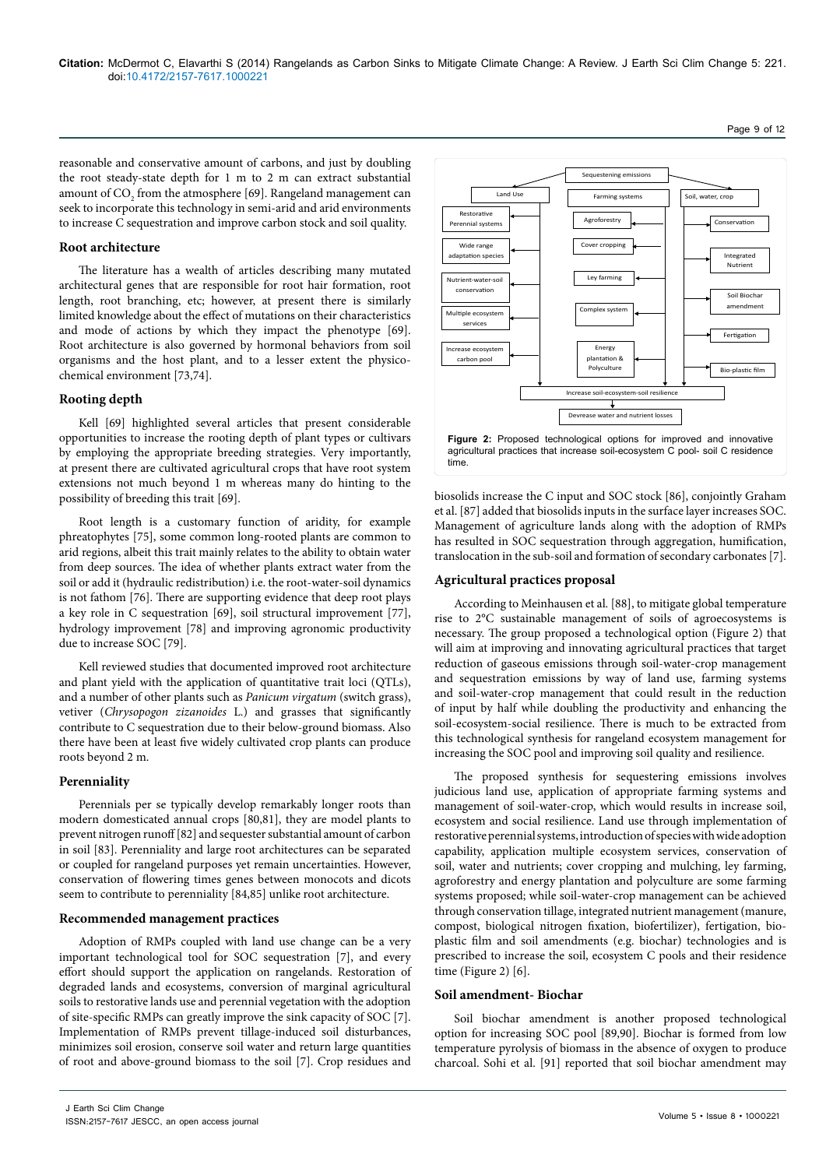**Citation:** McDermot C, Elavarthi S (2014) Rangelands as Carbon Sinks to Mitigate Climate Change: A Review. J Earth Sci Clim Change 5: 221.

the root steady-state depth for 1 m to 2 m can extract substantial amount of  $\mathrm{CO}_2$  from the atmosphere [69]. Rangeland management can seek to incorporate this technology in semi-arid and arid environments to increase C sequestration and improve carbon stock and soil quality.

doi:10.4172/2157-7617.1000221

#### **Root architecture**

The literature has a wealth of articles describing many mutated architectural genes that are responsible for root hair formation, root length, root branching, etc; however, at present there is similarly limited knowledge about the effect of mutations on their characteristics and mode of actions by which they impact the phenotype [69]. Root architecture is also governed by hormonal behaviors from soil organisms and the host plant, and to a lesser extent the physicochemical environment [73,74].

#### **Rooting depth**

Kell [69] highlighted several articles that present considerable opportunities to increase the rooting depth of plant types or cultivars by employing the appropriate breeding strategies. Very importantly, at present there are cultivated agricultural crops that have root system extensions not much beyond 1 m whereas many do hinting to the possibility of breeding this trait [69].

Root length is a customary function of aridity, for example phreatophytes [75], some common long-rooted plants are common to arid regions, albeit this trait mainly relates to the ability to obtain water from deep sources. The idea of whether plants extract water from the soil or add it (hydraulic redistribution) i.e. the root-water-soil dynamics is not fathom [76]. There are supporting evidence that deep root plays a key role in C sequestration [69], soil structural improvement [77], hydrology improvement [78] and improving agronomic productivity due to increase SOC [79].

Kell reviewed studies that documented improved root architecture and plant yield with the application of quantitative trait loci (QTLs), and a number of other plants such as *Panicum virgatum* (switch grass), vetiver (*Chrysopogon zizanoides* L.) and grasses that significantly contribute to C sequestration due to their below-ground biomass. Also there have been at least five widely cultivated crop plants can produce roots beyond 2 m.

### **Perenniality**

Perennials per se typically develop remarkably longer roots than modern domesticated annual crops [80,81], they are model plants to prevent nitrogen runoff [82] and sequester substantial amount of carbon in soil [83]. Perenniality and large root architectures can be separated or coupled for rangeland purposes yet remain uncertainties. However, conservation of flowering times genes between monocots and dicots seem to contribute to perenniality [84,85] unlike root architecture.

#### **Recommended management practices**

Adoption of RMPs coupled with land use change can be a very important technological tool for SOC sequestration [7], and every effort should support the application on rangelands. Restoration of degraded lands and ecosystems, conversion of marginal agricultural soils to restorative lands use and perennial vegetation with the adoption of site-specific RMPs can greatly improve the sink capacity of SOC [7]. Implementation of RMPs prevent tillage-induced soil disturbances, minimizes soil erosion, conserve soil water and return large quantities of root and above-ground biomass to the soil [7]. Crop residues and



biosolids increase the C input and SOC stock [86], conjointly Graham et al. [87] added that biosolids inputs in the surface layer increases SOC. Management of agriculture lands along with the adoption of RMPs has resulted in SOC sequestration through aggregation, humification, translocation in the sub-soil and formation of secondary carbonates [7].

#### **Agricultural practices proposal**

According to Meinhausen et al. [88], to mitigate global temperature rise to 2°C sustainable management of soils of agroecosystems is necessary. The group proposed a technological option (Figure 2) that will aim at improving and innovating agricultural practices that target reduction of gaseous emissions through soil-water-crop management and sequestration emissions by way of land use, farming systems and soil-water-crop management that could result in the reduction of input by half while doubling the productivity and enhancing the soil-ecosystem-social resilience. There is much to be extracted from this technological synthesis for rangeland ecosystem management for increasing the SOC pool and improving soil quality and resilience.

The proposed synthesis for sequestering emissions involves judicious land use, application of appropriate farming systems and management of soil-water-crop, which would results in increase soil, ecosystem and social resilience. Land use through implementation of restorative perennial systems, introduction of species with wide adoption capability, application multiple ecosystem services, conservation of soil, water and nutrients; cover cropping and mulching, ley farming, agroforestry and energy plantation and polyculture are some farming systems proposed; while soil-water-crop management can be achieved through conservation tillage, integrated nutrient management (manure, compost, biological nitrogen fixation, biofertilizer), fertigation, bioplastic film and soil amendments (e.g. biochar) technologies and is prescribed to increase the soil, ecosystem C pools and their residence time (Figure 2) [6].

#### **Soil amendment- Biochar**

Soil biochar amendment is another proposed technological option for increasing SOC pool [89,90]. Biochar is formed from low temperature pyrolysis of biomass in the absence of oxygen to produce charcoal. Sohi et al. [91] reported that soil biochar amendment may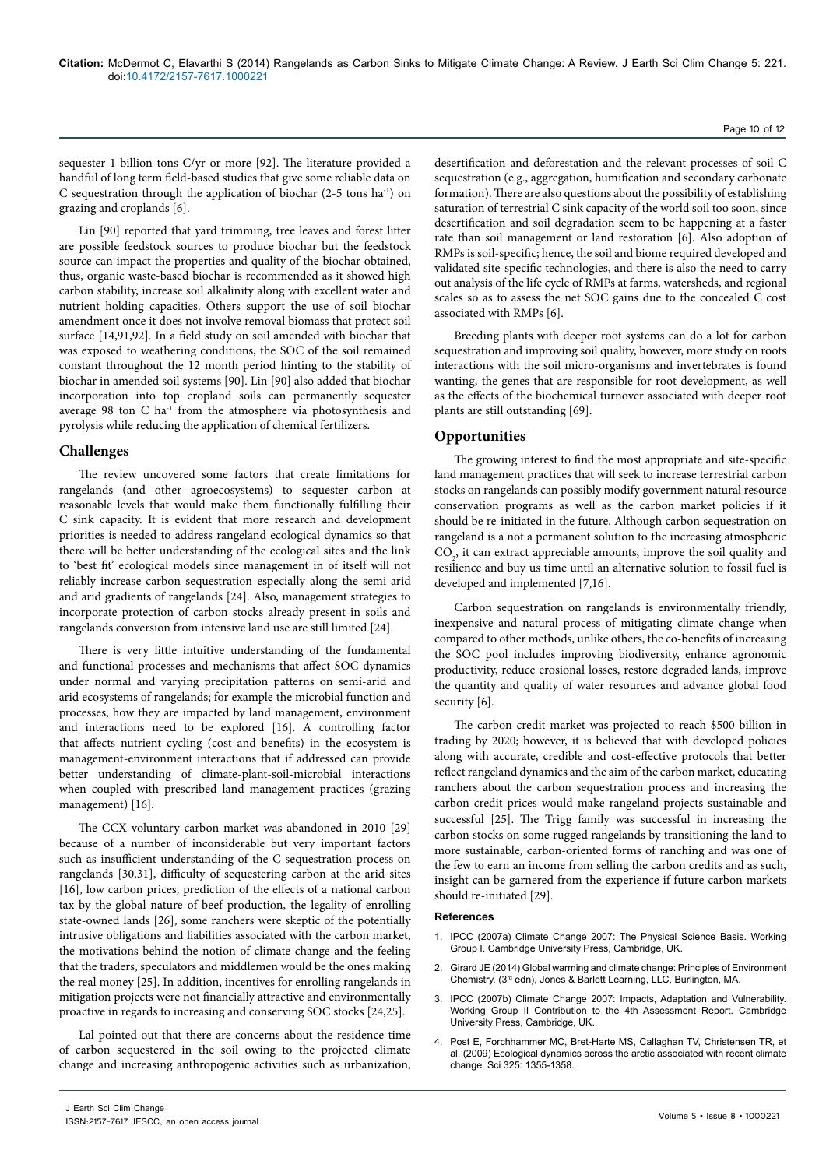sequester 1 billion tons C/yr or more [92]. The literature provided a handful of long term field-based studies that give some reliable data on C sequestration through the application of biochar (2-5 tons ha-1) on grazing and croplands [6].

Lin [90] reported that yard trimming, tree leaves and forest litter are possible feedstock sources to produce biochar but the feedstock source can impact the properties and quality of the biochar obtained, thus, organic waste-based biochar is recommended as it showed high carbon stability, increase soil alkalinity along with excellent water and nutrient holding capacities. Others support the use of soil biochar amendment once it does not involve removal biomass that protect soil surface [14,91,92]. In a field study on soil amended with biochar that was exposed to weathering conditions, the SOC of the soil remained constant throughout the 12 month period hinting to the stability of biochar in amended soil systems [90]. Lin [90] also added that biochar incorporation into top cropland soils can permanently sequester average 98 ton C ha<sup>-1</sup> from the atmosphere via photosynthesis and pyrolysis while reducing the application of chemical fertilizers.

# **Challenges**

The review uncovered some factors that create limitations for rangelands (and other agroecosystems) to sequester carbon at reasonable levels that would make them functionally fulfilling their C sink capacity. It is evident that more research and development priorities is needed to address rangeland ecological dynamics so that there will be better understanding of the ecological sites and the link to 'best fit' ecological models since management in of itself will not reliably increase carbon sequestration especially along the semi-arid and arid gradients of rangelands [24]. Also, management strategies to incorporate protection of carbon stocks already present in soils and rangelands conversion from intensive land use are still limited [24].

There is very little intuitive understanding of the fundamental and functional processes and mechanisms that affect SOC dynamics under normal and varying precipitation patterns on semi-arid and arid ecosystems of rangelands; for example the microbial function and processes, how they are impacted by land management, environment and interactions need to be explored [16]. A controlling factor that affects nutrient cycling (cost and benefits) in the ecosystem is management-environment interactions that if addressed can provide better understanding of climate-plant-soil-microbial interactions when coupled with prescribed land management practices (grazing management) [16].

The CCX voluntary carbon market was abandoned in 2010 [29] because of a number of inconsiderable but very important factors such as insufficient understanding of the C sequestration process on rangelands [30,31], difficulty of sequestering carbon at the arid sites [16], low carbon prices, prediction of the effects of a national carbon tax by the global nature of beef production, the legality of enrolling state-owned lands [26], some ranchers were skeptic of the potentially intrusive obligations and liabilities associated with the carbon market, the motivations behind the notion of climate change and the feeling that the traders, speculators and middlemen would be the ones making the real money [25]. In addition, incentives for enrolling rangelands in mitigation projects were not financially attractive and environmentally proactive in regards to increasing and conserving SOC stocks [24,25].

Lal pointed out that there are concerns about the residence time of carbon sequestered in the soil owing to the projected climate change and increasing anthropogenic activities such as urbanization,

desertification and deforestation and the relevant processes of soil C sequestration (e.g., aggregation, humification and secondary carbonate formation). There are also questions about the possibility of establishing saturation of terrestrial C sink capacity of the world soil too soon, since desertification and soil degradation seem to be happening at a faster rate than soil management or land restoration [6]. Also adoption of RMPs is soil-specific; hence, the soil and biome required developed and validated site-specific technologies, and there is also the need to carry out analysis of the life cycle of RMPs at farms, watersheds, and regional scales so as to assess the net SOC gains due to the concealed C cost associated with RMPs [6].

Breeding plants with deeper root systems can do a lot for carbon sequestration and improving soil quality, however, more study on roots interactions with the soil micro-organisms and invertebrates is found wanting, the genes that are responsible for root development, as well as the effects of the biochemical turnover associated with deeper root plants are still outstanding [69].

# **Opportunities**

The growing interest to find the most appropriate and site-specific land management practices that will seek to increase terrestrial carbon stocks on rangelands can possibly modify government natural resource conservation programs as well as the carbon market policies if it should be re-initiated in the future. Although carbon sequestration on rangeland is a not a permanent solution to the increasing atmospheric  $CO<sub>2</sub>$ , it can extract appreciable amounts, improve the soil quality and resilience and buy us time until an alternative solution to fossil fuel is developed and implemented [7,16].

Carbon sequestration on rangelands is environmentally friendly, inexpensive and natural process of mitigating climate change when compared to other methods, unlike others, the co-benefits of increasing the SOC pool includes improving biodiversity, enhance agronomic productivity, reduce erosional losses, restore degraded lands, improve the quantity and quality of water resources and advance global food security [6].

The carbon credit market was projected to reach \$500 billion in trading by 2020; however, it is believed that with developed policies along with accurate, credible and cost-effective protocols that better reflect rangeland dynamics and the aim of the carbon market, educating ranchers about the carbon sequestration process and increasing the carbon credit prices would make rangeland projects sustainable and successful [25]. The Trigg family was successful in increasing the carbon stocks on some rugged rangelands by transitioning the land to more sustainable, carbon-oriented forms of ranching and was one of the few to earn an income from selling the carbon credits and as such, insight can be garnered from the experience if future carbon markets should re-initiated [29].

#### **References**

- 1. [IPCC \(2007a\) Climate Change 2007: The Physical Science Basis. Working](http://www.ipcc.ch/publications_and_data/ar4/wg1/en/contents.html)  [Group I. Cambridge University Press, Cambridge, UK.](http://www.ipcc.ch/publications_and_data/ar4/wg1/en/contents.html)
- 2. [Girard JE \(2014\) Global warming and climate change: Principles of Environment](http://www.jblearning.com/catalog/9781449693527/)  [Chemistry. \(3rd edn\), Jones & Barlett Learning, LLC, Burlington, MA.](http://www.jblearning.com/catalog/9781449693527/)
- 3. [IPCC \(2007b\) Climate Change 2007: Impacts, Adaptation and Vulnerability.](http://www.ipcc.ch/pdf/assessment-report/ar4/wg2/ar4_wg2_full_report.pdf)  [Working Group II Contribution to the 4th Assessment Report. Cambridge](http://www.ipcc.ch/pdf/assessment-report/ar4/wg2/ar4_wg2_full_report.pdf)  [University Press, Cambridge, UK.](http://www.ipcc.ch/pdf/assessment-report/ar4/wg2/ar4_wg2_full_report.pdf)
- 4. [Post E, Forchhammer MC, Bret-Harte MS, Callaghan TV, Christensen TR, et](http://www.sciencemag.org/content/325/5946/1355)  [al. \(2009\) Ecological dynamics across the arctic associated with recent climate](http://www.sciencemag.org/content/325/5946/1355)  [change. Sci 325: 1355-1358.](http://www.sciencemag.org/content/325/5946/1355)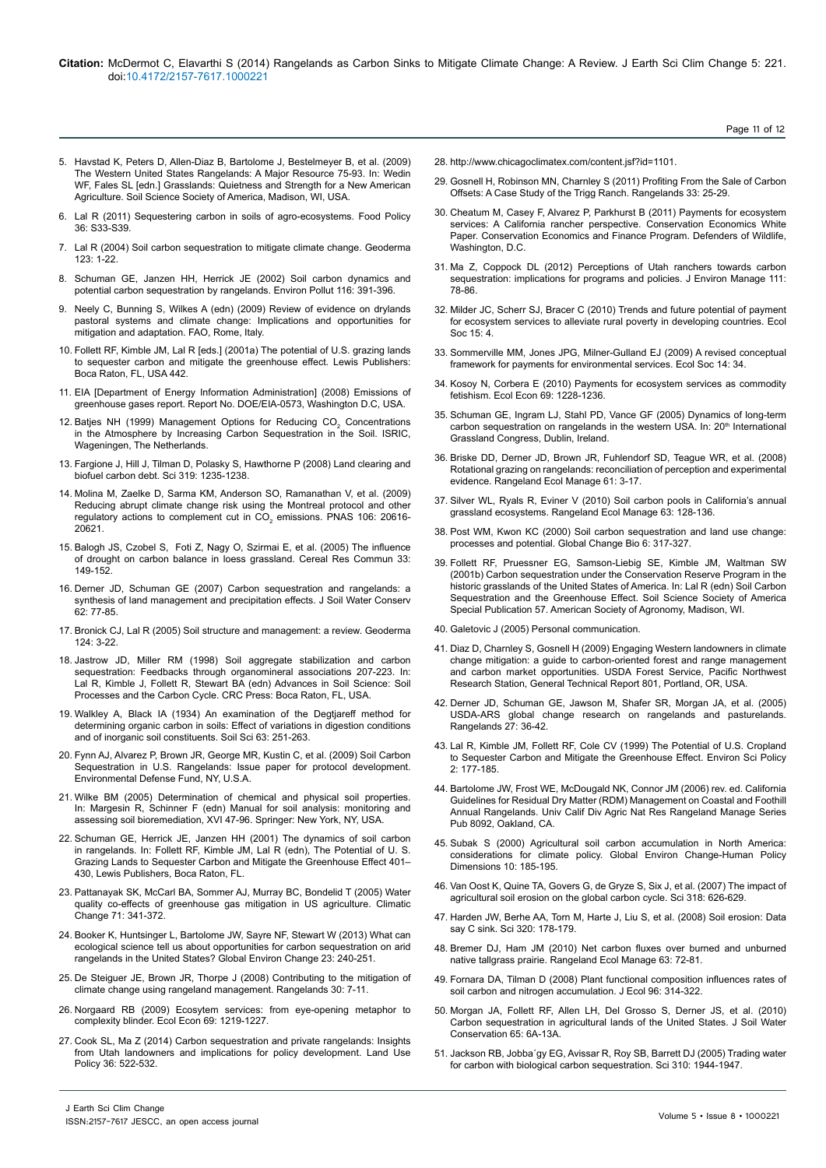- 5. [Havstad K, Peters D, Allen-Diaz B, Bartolome J, Bestelmeyer B, et al. \(2009\)](http://agrilifecdn.tamu.edu/briske/files/2013/01/RangelandResourcesUSBC09_4.pdf) [The Western United States Rangelands: A Major Resource 75-93. In: Wedin](http://agrilifecdn.tamu.edu/briske/files/2013/01/RangelandResourcesUSBC09_4.pdf) [WF, Fales SL \[edn.\] Grasslands: Quietness and Strength for a New American](http://agrilifecdn.tamu.edu/briske/files/2013/01/RangelandResourcesUSBC09_4.pdf) [Agriculture. Soil Science Society of America, Madison, WI, USA.](http://agrilifecdn.tamu.edu/briske/files/2013/01/RangelandResourcesUSBC09_4.pdf)
- 6. [Lal R \(2011\) Sequestering carbon in soils of agro-ecosystems. Food Policy](http://www.sciencedirect.com/science/article/pii/S0306919210001454) [36: S33-S39.](http://www.sciencedirect.com/science/article/pii/S0306919210001454)
- 7. [Lal R \(2004\) Soil carbon sequestration to mitigate climate change. Geoderma](http://www.sciencedirect.com/science/article/pii/S0016706104000266)  $123 \cdot 1 - 22$
- 8. [Schuman GE, Janzen HH, Herrick JE \(2002\) Soil carbon dynamics and](http://www.nrel.colostate.edu/ftp/conant/afri/wiki/Carbon_sequestration_rangelands_Schuman.pdf) [potential carbon sequestration by rangelands. Environ Pollut 116: 391-396.](http://www.nrel.colostate.edu/ftp/conant/afri/wiki/Carbon_sequestration_rangelands_Schuman.pdf)
- 9. [Neely C, Bunning S, Wilkes A \(edn\) \(2009\) Review of evidence on drylands](ftp://ftp.fao.org/docrep/fao/012/i1135e/i1135e00.pdf) [pastoral systems and climate change: Implications and opportunities for](ftp://ftp.fao.org/docrep/fao/012/i1135e/i1135e00.pdf) [mitigation and adaptation. FAO, Rome, Italy.](ftp://ftp.fao.org/docrep/fao/012/i1135e/i1135e00.pdf)
- 10. [Follett RF, Kimble JM, Lal R \[eds.\] \(2001a\) The potential of U.S. grazing lands](http://eco.ibcas.ac.cn/group/baiyf/pdf/gxzy/9_The_Potential_of_U.S._Grazing_Lands_to_Sequester_Carbon_and_Mitigate_the_Greenhouse_Effect.pdf) [to sequester carbon and mitigate the greenhouse effect. Lewis Publishers:](http://eco.ibcas.ac.cn/group/baiyf/pdf/gxzy/9_The_Potential_of_U.S._Grazing_Lands_to_Sequester_Carbon_and_Mitigate_the_Greenhouse_Effect.pdf) [Boca Raton, FL, USA 442.](http://eco.ibcas.ac.cn/group/baiyf/pdf/gxzy/9_The_Potential_of_U.S._Grazing_Lands_to_Sequester_Carbon_and_Mitigate_the_Greenhouse_Effect.pdf)
- 11. [EIA \[Department of Energy Information Administration\] \(2008\) Emissions of](http://www.eia.gov/environment/emissions/ghg_report/pdf/0573%282009%29.pdf) [greenhouse gases report. Report No. DOE/EIA-0573, Washington D.C, USA.](http://www.eia.gov/environment/emissions/ghg_report/pdf/0573%282009%29.pdf)
- 12. Batjes NH (1999) Management Options for Reducing  $CO<sub>2</sub>$  Concentrations [in the Atmosphere by Increasing Carbon Sequestration in the Soil. ISRIC,](http://www.isric.org/sites/default/files/NRP410200031.pdf) [Wageningen, The Netherlands.](http://www.isric.org/sites/default/files/NRP410200031.pdf)
- 13. [Fargione J, Hill J, Tilman D, Polasky S, Hawthorne P \(2008\) Land clearing and](http://www.sciencemag.org/content/319/5867/1235.short) [biofuel carbon debt. Sci 319: 1235-1238.](http://www.sciencemag.org/content/319/5867/1235.short)
- 14. [Molina M, Zaelke D, Sarma KM, Anderson SO, Ramanathan V, et al. \(2009\)](http://www.pnas.org/content/106/49/20616.abstract) [Reducing abrupt climate change risk using the Montreal protocol and other](http://www.pnas.org/content/106/49/20616.abstract) regulatory actions to complement cut in CO<sub>2</sub> emissions. PNAS 106: 20616-[20621.](http://www.pnas.org/content/106/49/20616.abstract)
- 15. [Balogh JS, Czobel S, Foti Z, Nagy O, Szirmai E, et al. \(2005\) The influence](http://www.experts.scival.com/hungary/pubDetail.asp?t=pm&id=17244370834&n=J.+Balogh&u_id=112&oe_id=1&o_id=7) [of drought on carbon balance in loess grassland. Cereal Res Commun 33:](http://www.experts.scival.com/hungary/pubDetail.asp?t=pm&id=17244370834&n=J.+Balogh&u_id=112&oe_id=1&o_id=7) [149-152.](http://www.experts.scival.com/hungary/pubDetail.asp?t=pm&id=17244370834&n=J.+Balogh&u_id=112&oe_id=1&o_id=7)
- 16. [Derner JD, Schuman GE \(2007\) Carbon sequestration and rangelands: a](http://www.jswconline.org/content/62/2/77.abstract) [synthesis of land management and precipitation effects. J Soil Water Conserv](http://www.jswconline.org/content/62/2/77.abstract) [62: 77-85.](http://www.jswconline.org/content/62/2/77.abstract)
- 17. [Bronick CJ, Lal R \(2005\) Soil structure and management: a review. Geoderma](http://www.sciencedirect.com/science/article/pii/S0016706104000898) [124: 3-22.](http://www.sciencedirect.com/science/article/pii/S0016706104000898)
- 18. [Jastrow JD, Miller RM \(1998\) Soil aggregate stabilization and carbon](http://www.osti.gov/scitech/biblio/464188) [sequestration: Feedbacks through organomineral associations 207-223. In:](http://www.osti.gov/scitech/biblio/464188) [Lal R, Kimble J, Follett R, Stewart BA \(edn\) Advances in Soil Science: Soil](http://www.osti.gov/scitech/biblio/464188) [Processes and the Carbon Cycle. CRC Press: Boca Raton, FL, USA.](http://www.osti.gov/scitech/biblio/464188)
- 19. Walkley A, Black IA (1934) An examination of the Degtjareff method for determining organic carbon in soils: Effect of variations in digestion conditions and of inorganic soil constituents. Soil Sci 63: 251-263.
- 20. [Fynn AJ, Alvarez P, Brown JR, George MR, Kustin C, et al. \(2009\) Soil Carbon](http://globalrangelands.org/dlio/56686) [Sequestration in U.S. Rangelands: Issue paper for protocol development.](http://globalrangelands.org/dlio/56686) [Environmental Defense Fund, NY, U.S.A.](http://globalrangelands.org/dlio/56686)
- 21. Wilke BM (2005) Determination of chemical and physical soil properties. In: Margesin R, Schinner F (edn) Manual for soil analysis: monitoring and assessing soil bioremediation, XVI 47-96. Springer: New York, NY, USA.
- 22. [Schuman GE, Herrick JE, Janzen HH \(2001\) The dynamics of soil carbon](http://eco.ibcas.ac.cn/group/baiyf/pdf/gxzy/9_The_Potential_of_U.S._Grazing_Lands_to_Sequester_Carbon_and_Mitigate_the_Greenhouse_Effect.pdf) [in rangelands. In: Follett RF, Kimble JM, Lal R \(edn\), The Potential of U. S.](http://eco.ibcas.ac.cn/group/baiyf/pdf/gxzy/9_The_Potential_of_U.S._Grazing_Lands_to_Sequester_Carbon_and_Mitigate_the_Greenhouse_Effect.pdf) [Grazing Lands to Sequester Carbon and Mitigate the Greenhouse Effect 401–](http://eco.ibcas.ac.cn/group/baiyf/pdf/gxzy/9_The_Potential_of_U.S._Grazing_Lands_to_Sequester_Carbon_and_Mitigate_the_Greenhouse_Effect.pdf) [430, Lewis Publishers, Boca Raton, FL.](http://eco.ibcas.ac.cn/group/baiyf/pdf/gxzy/9_The_Potential_of_U.S._Grazing_Lands_to_Sequester_Carbon_and_Mitigate_the_Greenhouse_Effect.pdf)
- 23. [Pattanayak SK, McCarl BA, Sommer AJ, Murray BC, Bondelid T \(2005\) Water](http://link.springer.com/article/10.1007%2Fs10584-005-5925-0) [quality co-effects of greenhouse gas mitigation in US agriculture. Climatic](http://link.springer.com/article/10.1007%2Fs10584-005-5925-0) Change [71: 341-372.](http://link.springer.com/article/10.1007%2Fs10584-005-5925-0)
- 24. [Booker K, Huntsinger L, Bartolome JW, Sayre NF, Stewart W \(2013\) What can](http://www.sciencedirect.com/science/article/pii/S0959378012001148) [ecological science tell us about opportunities for carbon sequestration on arid](http://www.sciencedirect.com/science/article/pii/S0959378012001148) [rangelands in the United States? Global Environ Change 23: 240-251.](http://www.sciencedirect.com/science/article/pii/S0959378012001148)
- 25. [De Steiguer JE, Brown JR, Thorpe J \(2008\) Contributing to the mitigation of](http://www.farmland.org/programs/environment/workshops/documents/Mitigation.pdf) [climate change using rangeland management. Rangelands 30: 7-11.](http://www.farmland.org/programs/environment/workshops/documents/Mitigation.pdf)
- 26. [Norgaard RB \(2009\) Ecosytem services: from eye-opening metaphor to](http://www.sciencedirect.com/science/article/pii/S0921800909004583) [complexity blinder. Ecol Econ 69: 1219-1227.](http://www.sciencedirect.com/science/article/pii/S0921800909004583)
- 27. [Cook SL, Ma Z \(2014\) Carbon sequestration and private rangelands: Insights](http://www.sciencedirect.com/science/article/pii/S0264837713001907) [from Utah landowners and implications for policy development. Land Use](http://www.sciencedirect.com/science/article/pii/S0264837713001907) [Policy 36: 522-532.](http://www.sciencedirect.com/science/article/pii/S0264837713001907)
- 28. <http://www.chicagoclimatex.com/content.jsf?id=1101>.
- 29. [Gosnell H, Robinson MN, Charnley S \(2011\) Profiting From the Sale of Carbon](http://ceoas.oregonstate.edu/people/files/gosnell/Gosnell et al 2011 Trigg Ranch Case Study.pdf)  [Offsets: A Case Study of the Trigg Ranch. Rangelands 33: 25-29.](http://ceoas.oregonstate.edu/people/files/gosnell/Gosnell et al 2011 Trigg Ranch Case Study.pdf)
- 30. [Cheatum M, Casey F, Alvarez P, Parkhurst B \(2011\) Payments for ecosystem](http://www.carangeland.org/images/payments_for_ecosystem_services_a_california_rancher_perspective.pdf)  [services: A California rancher perspective. Conservation Economics White](http://www.carangeland.org/images/payments_for_ecosystem_services_a_california_rancher_perspective.pdf)  [Paper. Conservation Economics and Finance Program. Defenders of Wildlife,](http://www.carangeland.org/images/payments_for_ecosystem_services_a_california_rancher_perspective.pdf)  [Washington, D.C.](http://www.carangeland.org/images/payments_for_ecosystem_services_a_california_rancher_perspective.pdf)
- 31. [Ma Z, Coppock DL \(2012\) Perceptions of Utah ranchers towards carbon](http://www.pubfacts.com/detail/22831793/Perceptions-of-Utah-ranchers-toward-carbon-sequestration:-policy-implications-for-US-rangelands.)  [sequestration: implications for programs and policies. J Environ Manage 111:](http://www.pubfacts.com/detail/22831793/Perceptions-of-Utah-ranchers-toward-carbon-sequestration:-policy-implications-for-US-rangelands.)  [78-86.](http://www.pubfacts.com/detail/22831793/Perceptions-of-Utah-ranchers-toward-carbon-sequestration:-policy-implications-for-US-rangelands.)
- 32. [Milder JC, Scherr SJ, Bracer C \(2010\) Trends and future potential of payment](http://www.ecologyandsociety.org/vol15/iss2/art4/)  [for ecosystem services to alleviate rural poverty in developing countries. Ecol](http://www.ecologyandsociety.org/vol15/iss2/art4/)  [Soc 15: 4.](http://www.ecologyandsociety.org/vol15/iss2/art4/)
- 33. [Sommerville MM, Jones JPG, Milner-Gulland EJ \(2009\) A revised conceptual](http://www.ecologyandsociety.org/vol14/iss2/art34/)  [framework for payments for environmental services. Ecol Soc 14: 34.](http://www.ecologyandsociety.org/vol14/iss2/art34/)
- Kosoy N, Corbera E (2010) Payments for ecosystem services as commodity [fetishism. Ecol Econ 69: 1228-1236.](http://www.sciencedirect.com/science/article/pii/S0921800909004510)
- 35. [Schuman GE, Ingram LJ, Stahl PD, Vance GF \(2005\) Dynamics of long-term](http://books.google.co.in/books?id=CtD-6CPdZCgC&pg=PA590&lpg=PA590&dq=Dynamics+of+long-term+carbon+sequestration+on+rangelands+in+the+western+USA.&source=bl&ots=LWe5zRn-58&sig=TKy1MlAQChh1tvx4Bi3LtSWa2Dg&hl=en&sa=X&ei=5REgVIGsE8fGuASqjoH4BA&ved=0CB4Q6AEwAA#v=onepage&q=Dynamics of long-term carbon sequestration on rangelands in the western USA.&f=false)  carbon sequestration on rangelands in the western USA. In: 20<sup>th</sup> International [Grassland Congress, Dublin, Ireland.](http://books.google.co.in/books?id=CtD-6CPdZCgC&pg=PA590&lpg=PA590&dq=Dynamics+of+long-term+carbon+sequestration+on+rangelands+in+the+western+USA.&source=bl&ots=LWe5zRn-58&sig=TKy1MlAQChh1tvx4Bi3LtSWa2Dg&hl=en&sa=X&ei=5REgVIGsE8fGuASqjoH4BA&ved=0CB4Q6AEwAA#v=onepage&q=Dynamics of long-term carbon sequestration on rangelands in the western USA.&f=false)
- 36. [Briske DD, Derner JD, Brown JR, Fuhlendorf SD, Teague WR, et al. \(2008\)](http://ext100.wsu.edu/kittitas/wp-content/uploads/sites/19/2013/07/Briske-Teague-Havstad-2008-rotational-grazing-on-rangelands1.pdf)  [Rotational grazing on rangelands: reconciliation of perception and experimental](http://ext100.wsu.edu/kittitas/wp-content/uploads/sites/19/2013/07/Briske-Teague-Havstad-2008-rotational-grazing-on-rangelands1.pdf)  [evidence. Rangeland Ecol Manage 61: 3-17.](http://ext100.wsu.edu/kittitas/wp-content/uploads/sites/19/2013/07/Briske-Teague-Havstad-2008-rotational-grazing-on-rangelands1.pdf)
- 37. [Silver WL, Ryals R, Eviner V \(2010\) Soil carbon pools in California's annual](http://www.bioone.org/doi/abs/10.2111/REM-D-09-00106.1?journalCode=rama)  [grassland ecosystems. Rangeland Ecol Manage 63: 128-136.](http://www.bioone.org/doi/abs/10.2111/REM-D-09-00106.1?journalCode=rama)
- 38. [Post WM, Kwon KC \(2000\) Soil carbon sequestration and land use change:](http://www.esd.ornl.gov/~wmp/PUBS/post_kwon.pdf)  [processes and potential. Global Change Bio 6: 317-327.](http://www.esd.ornl.gov/~wmp/PUBS/post_kwon.pdf)
- 39. Follett RF, Pruessner EG, Samson-Liebig SE, Kimble JM, Waltman SW (2001b) Carbon sequestration under the Conservation Reserve Program in the historic grasslands of the United States of America. In: Lal R (edn) Soil Carbon Sequestration and the Greenhouse Effect. Soil Science Society of America Special Publication 57. American Society of Agronomy, Madison, WI.
- 40. Galetovic J (2005) Personal communication.
- 41. [Diaz D, Charnley S, Gosnell H \(2009\) Engaging Western landowners in climate](http://www.fs.fed.us/pnw/pubs/pnw_gtr801.pdf)  [change mitigation: a guide to carbon-oriented forest and range management](http://www.fs.fed.us/pnw/pubs/pnw_gtr801.pdf)  [and carbon market opportunities. USDA Forest Service, Pacific Northwest](http://www.fs.fed.us/pnw/pubs/pnw_gtr801.pdf)  [Research Station, General Technical Report 801, Portland, OR, USA.](http://www.fs.fed.us/pnw/pubs/pnw_gtr801.pdf)
- 42. [Derner JD, Schuman GE, Jawson M, Shafer SR, Morgan JA, et al. \(2005\)](http://www.ars.usda.gov/SP2UserFiles/person/1354/22.Derneretal-Rangelandsglobalchangearticle2005.pdf)  [USDA-ARS global change research on rangelands and pasturelands.](http://www.ars.usda.gov/SP2UserFiles/person/1354/22.Derneretal-Rangelandsglobalchangearticle2005.pdf)  [Rangelands 27: 36-42.](http://www.ars.usda.gov/SP2UserFiles/person/1354/22.Derneretal-Rangelandsglobalchangearticle2005.pdf)
- 43. [Lal R, Kimble JM, Follett RF, Cole CV \(1999\) The Potential of U.S. Cropland](http://www.crcpress.com/product/isbn/9781575041124)  [to Sequester Carbon and Mitigate the Greenhouse Effect. Environ Sci Policy](http://www.crcpress.com/product/isbn/9781575041124)  [2: 177-185.](http://www.crcpress.com/product/isbn/9781575041124)
- 44. Bartolome JW, Frost WE, McDougald NK, Connor JM (2006) rev. ed. California Guidelines for Residual Dry Matter (RDM) Management on Coastal and Foothill Annual Rangelands. Univ Calif Div Agric Nat Res Rangeland Manage Series Pub 8092, Oakland, CA.
- 45. [Subak S \(2000\) Agricultural soil carbon accumulation in North America:](http://www.sciencedirect.com/science/article/pii/S0959378000000261)  [considerations for climate policy. Global Environ Change-Human Policy](http://www.sciencedirect.com/science/article/pii/S0959378000000261)  Dimensions 10: 185-195
- 46. [Van Oost K, Quine TA, Govers G, de Gryze S, Six J, et al. \(2007\) The impact of](http://www.sciencemag.org/content/318/5850/626.abstract)  [agricultural soil erosion on the global carbon cycle. Sci 318: 626-629.](http://www.sciencemag.org/content/318/5850/626.abstract)
- 47. [Harden JW, Berhe AA, Torn M, Harte J, Liu S, et al. \(2008\) Soil erosion: Data](http://www.sciencemag.org/content/320/5873/178.citation)  [say C sink. Sci 320: 178-179.](http://www.sciencemag.org/content/320/5873/178.citation)
- 48. [Bremer DJ, Ham JM \(2010\) Net carbon fluxes over burned and unburned](http://www.srmjournals.org/doi/abs/10.2111/REM-D-09-00010.1)  [native tallgrass prairie. Rangeland Ecol Manage 63: 72-81.](http://www.srmjournals.org/doi/abs/10.2111/REM-D-09-00010.1)
- 49. [Fornara DA, Tilman D \(2008\) Plant functional composition influences rates of](http://onlinelibrary.wiley.com/doi/10.1111/j.1365-2745.2007.01345.x/abstract)  [soil carbon and nitrogen accumulation. J Ecol 96: 314-322.](http://onlinelibrary.wiley.com/doi/10.1111/j.1365-2745.2007.01345.x/abstract)
- 50. [Morgan JA, Follett RF, Allen LH, Del Grosso S, Derner JS, et al. \(2010\)](http://www.fluxfarm.com/uploads/3/1/6/8/3168871/carbon_sequestration_in_agricultural_lands.pdf)  [Carbon sequestration in agricultural lands of the United States. J Soil Water](http://www.fluxfarm.com/uploads/3/1/6/8/3168871/carbon_sequestration_in_agricultural_lands.pdf)  [Conservation 65: 6A-13A.](http://www.fluxfarm.com/uploads/3/1/6/8/3168871/carbon_sequestration_in_agricultural_lands.pdf)
- 51. [Jackson RB, Jobba´gy EG, Avissar R, Roy SB, Barrett DJ \(2005\) Trading water](http://www.sciencemag.org/content/310/5756/1944.full)  [for carbon with biological carbon sequestration. Sci 310: 1944-1947.](http://www.sciencemag.org/content/310/5756/1944.full)